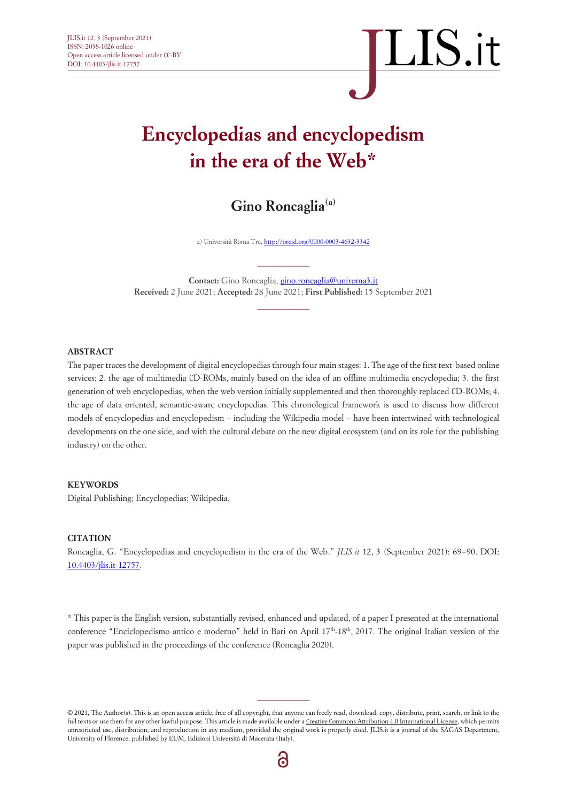#### **Encyclopedias and encyclopedism in the era of the Web\***

**Gino Roncaglia(a)**

a) Università Roma Tre, http://orcid.org/0000-0003-4632-3342

**Contact:** Gino Roncaglia, gino.roncaglia@uniroma3.it **Received:** 2 June 2021; **Accepted:** 28 June 2021; **First Published:** 15 September 2021

 $\overline{\phantom{a}}$  ,  $\overline{\phantom{a}}$  ,  $\overline{\phantom{a}}$  ,  $\overline{\phantom{a}}$  ,  $\overline{\phantom{a}}$  ,  $\overline{\phantom{a}}$  ,  $\overline{\phantom{a}}$  ,  $\overline{\phantom{a}}$  ,  $\overline{\phantom{a}}$  ,  $\overline{\phantom{a}}$  ,  $\overline{\phantom{a}}$  ,  $\overline{\phantom{a}}$  ,  $\overline{\phantom{a}}$  ,  $\overline{\phantom{a}}$  ,  $\overline{\phantom{a}}$  ,  $\overline{\phantom{a}}$ 

 $\overline{\phantom{a}}$  ,  $\overline{\phantom{a}}$  ,  $\overline{\phantom{a}}$  ,  $\overline{\phantom{a}}$  ,  $\overline{\phantom{a}}$  ,  $\overline{\phantom{a}}$  ,  $\overline{\phantom{a}}$  ,  $\overline{\phantom{a}}$  ,  $\overline{\phantom{a}}$  ,  $\overline{\phantom{a}}$  ,  $\overline{\phantom{a}}$  ,  $\overline{\phantom{a}}$  ,  $\overline{\phantom{a}}$  ,  $\overline{\phantom{a}}$  ,  $\overline{\phantom{a}}$  ,  $\overline{\phantom{a}}$ 

#### **ABSTRACT**

The paper traces the development of digital encyclopedias through four main stages: 1. The age of the first text-based online services; 2. the age of multimedia CD-ROMs, mainly based on the idea of an offline multimedia encyclopedia; 3. the first generation of web encyclopedias, when the web version initially supplemented and then thoroughly replaced CD-ROMs; 4. the age of data oriented, semantic-aware encyclopedias. This chronological framework is used to discuss how different models of encyclopedias and encyclopedism – including the Wikipedia model – have been intertwined with technological developments on the one side, and with the cultural debate on the new digital ecosystem (and on its role for the publishing industry) on the other.

#### **KEYWORDS**

Digital Publishing; Encyclopedias; Wikipedia.

#### **CITATION**

Roncaglia, G. "Encyclopedias and encyclopedism in the era of the Web." *JLIS.it* 12, 3 (September 2021): 69−90. DOI: 10.4403/jlis.it-12757.

\* This paper is the English version, substantially revised, enhanced and updated, of a paper I presented at the international conference "Enciclopedismo antico e moderno" held in Bari on April 17<sup>th</sup>-18<sup>th</sup>, 2017. The original Italian version of the paper was published in the proceedings of the conference (Roncaglia 2020).

© 2021, The Author(s). This is an open access article, free of all copyright, that anyone can freely read, download, copy, distribute, print, search, or link to the full texts or use them for any other lawful purpose. This article is made available under [a Creative Commons Attribution 4.0 International License,](http://creativecommons.org/licenses/by/4.0/) which permits unrestricted use, distribution, and reproduction in any medium, provided the original work is properly cited. JLIS.it is a journal of the SAGAS Department, University of Florence, published by EUM, Edizioni Università di Macerata (Italy).

6

 $\overline{\phantom{a}}$  ,  $\overline{\phantom{a}}$  ,  $\overline{\phantom{a}}$  ,  $\overline{\phantom{a}}$  ,  $\overline{\phantom{a}}$  ,  $\overline{\phantom{a}}$  ,  $\overline{\phantom{a}}$  ,  $\overline{\phantom{a}}$  ,  $\overline{\phantom{a}}$  ,  $\overline{\phantom{a}}$  ,  $\overline{\phantom{a}}$  ,  $\overline{\phantom{a}}$  ,  $\overline{\phantom{a}}$  ,  $\overline{\phantom{a}}$  ,  $\overline{\phantom{a}}$  ,  $\overline{\phantom{a}}$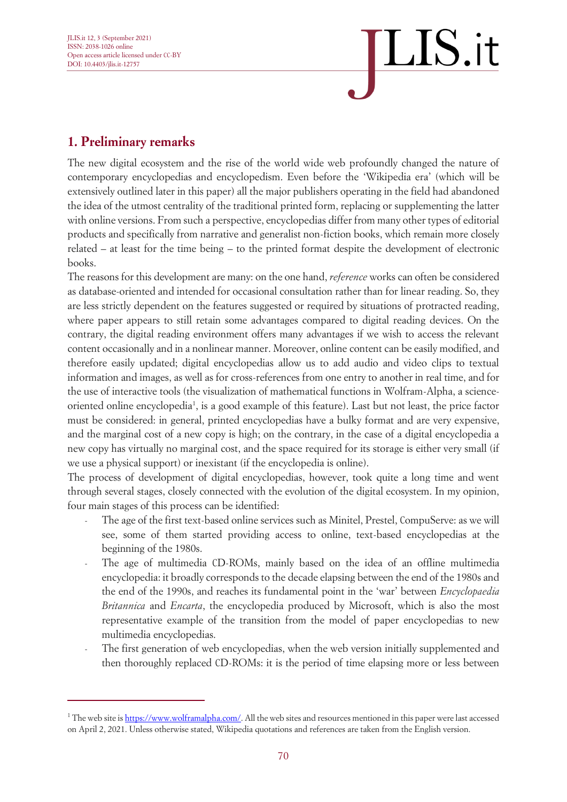# $\overline{\text{LIS}}.$ it

#### **1. Preliminary remarks**

The new digital ecosystem and the rise of the world wide web profoundly changed the nature of contemporary encyclopedias and encyclopedism. Even before the 'Wikipedia era' (which will be extensively outlined later in this paper) all the major publishers operating in the field had abandoned the idea of the utmost centrality of the traditional printed form, replacing or supplementing the latter with online versions. From such a perspective, encyclopedias differ from many other types of editorial products and specifically from narrative and generalist non-fiction books, which remain more closely related – at least for the time being – to the printed format despite the development of electronic books.

The reasons for this development are many: on the one hand, *reference* works can often be considered as database-oriented and intended for occasional consultation rather than for linear reading. So, they are less strictly dependent on the features suggested or required by situations of protracted reading, where paper appears to still retain some advantages compared to digital reading devices. On the contrary, the digital reading environment offers many advantages if we wish to access the relevant content occasionally and in a nonlinear manner. Moreover, online content can be easily modified, and therefore easily updated; digital encyclopedias allow us to add audio and video clips to textual information and images, as well as for cross-references from one entry to another in real time, and for the use of interactive tools (the visualization of mathematical functions in Wolfram-Alpha, a scienceoriented online encyclopedia<sup>1</sup>, is a good example of this feature). Last but not least, the price factor must be considered: in general, printed encyclopedias have a bulky format and are very expensive, and the marginal cost of a new copy is high; on the contrary, in the case of a digital encyclopedia a new copy has virtually no marginal cost, and the space required for its storage is either very small (if we use a physical support) or inexistant (if the encyclopedia is online).

The process of development of digital encyclopedias, however, took quite a long time and went through several stages, closely connected with the evolution of the digital ecosystem. In my opinion, four main stages of this process can be identified:

- The age of the first text-based online services such as Minitel, Prestel, CompuServe: as we will see, some of them started providing access to online, text-based encyclopedias at the beginning of the 1980s.
- The age of multimedia CD-ROMs, mainly based on the idea of an offline multimedia encyclopedia: it broadly corresponds to the decade elapsing between the end of the 1980s and the end of the 1990s, and reaches its fundamental point in the 'war' between *Encyclopaedia Britannica* and *Encarta*, the encyclopedia produced by Microsoft, which is also the most representative example of the transition from the model of paper encyclopedias to new multimedia encyclopedias.
- The first generation of web encyclopedias, when the web version initially supplemented and then thoroughly replaced CD-ROMs: it is the period of time elapsing more or less between

<sup>&</sup>lt;sup>1</sup> The web site i[s https://www.wolframalpha.com/.](https://www.wolframalpha.com/) All the web sites and resources mentioned in this paper were last accessed on April 2, 2021. Unless otherwise stated, Wikipedia quotations and references are taken from the English version.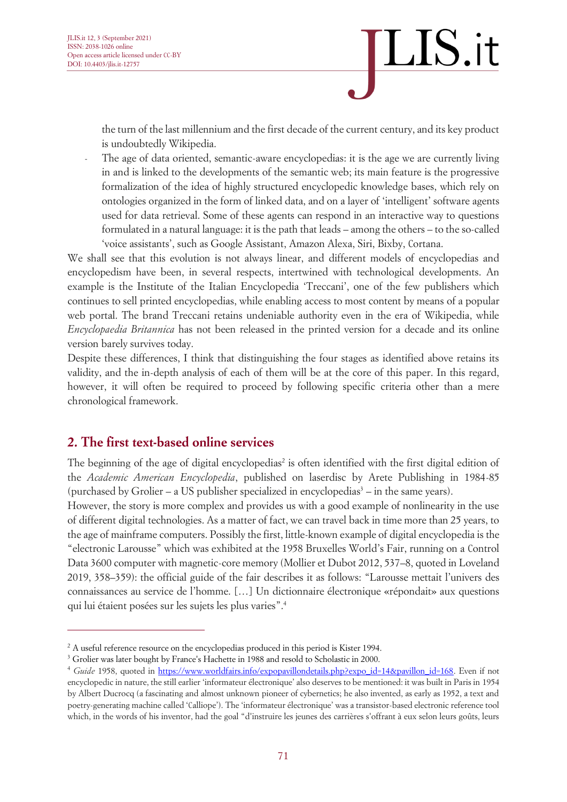the turn of the last millennium and the first decade of the current century, and its key product is undoubtedly Wikipedia.

The age of data oriented, semantic-aware encyclopedias: it is the age we are currently living in and is linked to the developments of the semantic web; its main feature is the progressive formalization of the idea of highly structured encyclopedic knowledge bases, which rely on ontologies organized in the form of linked data, and on a layer of 'intelligent' software agents used for data retrieval. Some of these agents can respond in an interactive way to questions formulated in a natural language: it is the path that leads – among the others – to the so-called 'voice assistants', such as Google Assistant, Amazon Alexa, Siri, Bixby, Cortana.

We shall see that this evolution is not always linear, and different models of encyclopedias and encyclopedism have been, in several respects, intertwined with technological developments. An example is the Institute of the Italian Encyclopedia 'Treccani', one of the few publishers which continues to sell printed encyclopedias, while enabling access to most content by means of a popular web portal. The brand Treccani retains undeniable authority even in the era of Wikipedia, while *Encyclopaedia Britannica* has not been released in the printed version for a decade and its online version barely survives today.

Despite these differences, I think that distinguishing the four stages as identified above retains its validity, and the in-depth analysis of each of them will be at the core of this paper. In this regard, however, it will often be required to proceed by following specific criteria other than a mere chronological framework.

#### **2. The first text-based online services**

The beginning of the age of digital encyclopedias<sup>2</sup> is often identified with the first digital edition of the *Academic American Encyclopedia*, published on laserdisc by Arete Publishing in 1984-85 (purchased by Grolier – a US publisher specialized in encyclopedias<sup>3</sup> – in the same years).

However, the story is more complex and provides us with a good example of nonlinearity in the use of different digital technologies. As a matter of fact, we can travel back in time more than 25 years, to the age of mainframe computers. Possibly the first, little-known example of digital encyclopedia is the "electronic Larousse" which was exhibited at the 1958 Bruxelles World's Fair, running on a Control Data 3600 computer with magnetic-core memory (Mollier et Dubot 2012, 537–8, quoted in Loveland 2019, 358–359): the official guide of the fair describes it as follows: "Larousse mettait l'univers des connaissances au service de l'homme. […] Un dictionnaire électronique «répondait» aux questions qui lui étaient posées sur les sujets les plus varies". 4

<sup>&</sup>lt;sup>2</sup> A useful reference resource on the encyclopedias produced in this period is Kister 1994.

<sup>&</sup>lt;sup>3</sup> Grolier was later bought by France's Hachette in 1988 and resold to Scholastic in 2000.

<sup>4</sup> *Guide* 1958, quoted in [https://www.worldfairs.info/expopavillondetails.php?expo\\_id=14&pavillon\\_id=168.](https://www.worldfairs.info/expopavillondetails.php?expo_id=14&pavillon_id=168) Even if not encyclopedic in nature, the still earlier 'informateur électronique' also deserves to be mentioned: it was built in Paris in 1954 by Albert Ducrocq (a fascinating and almost unknown pioneer of cybernetics; he also invented, as early as 1952, a text and poetry-generating machine called 'Calliope'). The 'informateur électronique' was a transistor-based electronic reference tool which, in the words of his inventor, had the goal "d'instruire les jeunes des carrières s'offrant à eux selon leurs goûts, leurs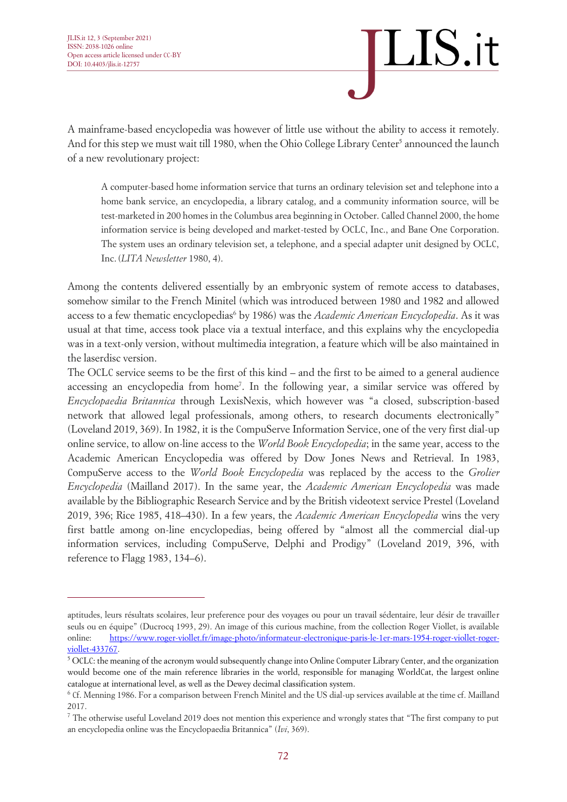

A mainframe-based encyclopedia was however of little use without the ability to access it remotely. And for this step we must wait till 1980, when the Ohio College Library Center<sup>5</sup> announced the launch of a new revolutionary project:

A computer-based home information service that turns an ordinary television set and telephone into a home bank service, an encyclopedia, a library catalog, and a community information source, will be test-marketed in 200 homes in the Columbus area beginning in October. Called Channel 2000, the home information service is being developed and market-tested by OCLC, Inc., and Bane One Corporation. The system uses an ordinary television set, a telephone, and a special adapter unit designed by OCLC, Inc.(*LITA Newsletter* 1980, 4).

Among the contents delivered essentially by an embryonic system of remote access to databases, somehow similar to the French Minitel (which was introduced between 1980 and 1982 and allowed access to a few thematic encyclopedias<sup>6</sup> by 1986) was the *Academic American Encyclopedia*. As it was usual at that time, access took place via a textual interface, and this explains why the encyclopedia was in a text-only version, without multimedia integration, a feature which will be also maintained in the laserdisc version.

The OCLC service seems to be the first of this kind – and the first to be aimed to a general audience accessing an encyclopedia from home<sup>7</sup>. In the following year, a similar service was offered by *Encyclopaedia Britannica* through LexisNexis, which however was "a closed, subscription-based network that allowed legal professionals, among others, to research documents electronically" (Loveland 2019, 369). In 1982, it is the CompuServe Information Service, one of the very first dial-up online service, to allow on-line access to the *World Book Encyclopedia*; in the same year, access to the Academic American Encyclopedia was offered by Dow Jones News and Retrieval. In 1983, CompuServe access to the *World Book Encyclopedia* was replaced by the access to the *Grolier Encyclopedia* (Mailland 2017). In the same year, the *Academic American Encyclopedia* was made available by the Bibliographic Research Service and by the British videotext service Prestel (Loveland 2019, 396; Rice 1985, 418–430). In a few years, the *Academic American Encyclopedia* wins the very first battle among on-line encyclopedias, being offered by "almost all the commercial dial-up information services, including CompuServe, Delphi and Prodigy" (Loveland 2019, 396, with reference to Flagg 1983, 134–6).

aptitudes, leurs résultats scolaires, leur preference pour des voyages ou pour un travail sédentaire, leur désir de travailler seuls ou en équipe" (Ducrocq 1993, 29). An image of this curious machine, from the collection Roger Viollet, is available online: [https://www.roger-viollet.fr/image-photo/informateur-electronique-paris-le-1er-mars-1954-roger-viollet-roger](https://www.roger-viollet.fr/image-photo/informateur-electronique-paris-le-1er-mars-1954-roger-viollet-roger-viollet-433767)[viollet-433767.](https://www.roger-viollet.fr/image-photo/informateur-electronique-paris-le-1er-mars-1954-roger-viollet-roger-viollet-433767) 

 $5$  OCLC: the meaning of the acronym would subsequently change into Online Computer Library Center, and the organization would become one of the main reference libraries in the world, responsible for managing WorldCat, the largest online catalogue at international level, as well as the Dewey decimal classification system.

<sup>6</sup> Cf. Menning 1986. For a comparison between French Minitel and the US dial-up services available at the time cf. Mailland 2017.

<sup>&</sup>lt;sup>7</sup> The otherwise useful Loveland 2019 does not mention this experience and wrongly states that "The first company to put an encyclopedia online was the Encyclopaedia Britannica" (*Ivi*, 369).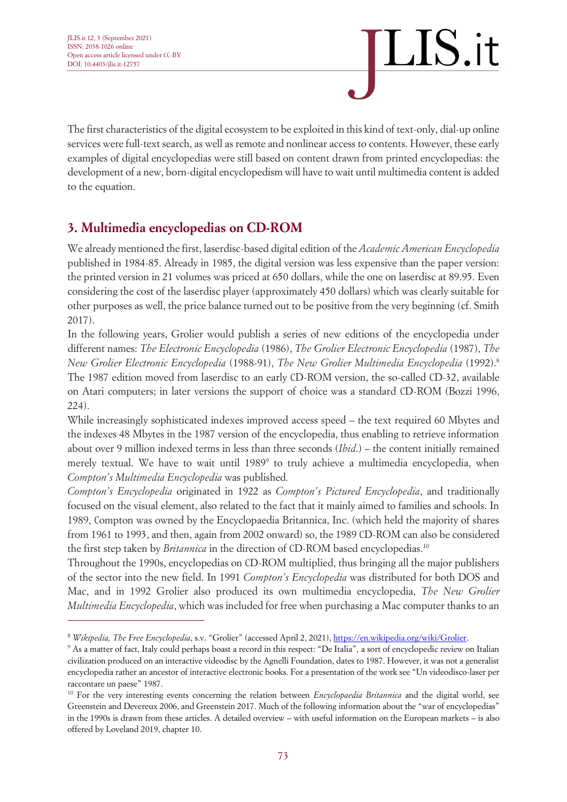

The first characteristics of the digital ecosystem to be exploited in this kind of text-only, dial-up online services were full-text search, as well as remote and nonlinear access to contents. However, these early examples of digital encyclopedias were still based on content drawn from printed encyclopedias: the development of a new, born-digital encyclopedism will have to wait until multimedia content is added to the equation.

#### **3. Multimedia encyclopedias on CD-ROM**

We already mentioned the first, laserdisc-based digital edition of the *Academic American Encyclopedia*  published in 1984-85. Already in 1985, the digital version was less expensive than the paper version: the printed version in 21 volumes was priced at 650 dollars, while the one on laserdisc at 89.95. Even considering the cost of the laserdisc player (approximately 450 dollars) which was clearly suitable for other purposes as well, the price balance turned out to be positive from the very beginning (cf. Smith 2017).

In the following years, Grolier would publish a series of new editions of the encyclopedia under different names: *The Electronic Encyclopedia* (1986), *The Grolier Electronic Encyclopedia* (1987), *The New Grolier Electronic Encyclopedia* (1988-91), *The New Grolier Multimedia Encyclopedia* (1992). 8 The 1987 edition moved from laserdisc to an early CD-ROM version, the so-called CD-32, available on Atari computers; in later versions the support of choice was a standard CD-ROM (Bozzi 1996, 224).

While increasingly sophisticated indexes improved access speed – the text required 60 Mbytes and the indexes 48 Mbytes in the 1987 version of the encyclopedia, thus enabling to retrieve information about over 9 million indexed terms in less than three seconds (*Ibid*.) – the content initially remained merely textual. We have to wait until 1989<sup>9</sup> to truly achieve a multimedia encyclopedia, when *Compton's Multimedia Encyclopedia* was published*.*

*Compton's Encyclopedia* originated in 1922 as *Compton's Pictured Encyclopedia*, and traditionally focused on the visual element, also related to the fact that it mainly aimed to families and schools. In 1989, Compton was owned by the Encyclopaedia Britannica, Inc. (which held the majority of shares from 1961 to 1993, and then, again from 2002 onward) so, the 1989 CD-ROM can also be considered the first step taken by *Britannica* in the direction of CD-ROM based encyclopedias. 10

Throughout the 1990s, encyclopedias on CD-ROM multiplied, thus bringing all the major publishers of the sector into the new field. In 1991 *Compton's Encyclopedia* was distributed for both DOS and Mac, and in 1992 Grolier also produced its own multimedia encyclopedia, *The New Grolier Multimedia Encyclopedia*, which was included for free when purchasing a Mac computer thanks to an

<sup>8</sup> *Wikipedia, The Free Encyclopedia*, s.v. "Grolier" (accessed April 2, 2021), [https://en.wikipedia.org/wiki/Grolier.](https://en.wikipedia.org/wiki/Grolier)

<sup>9</sup> As a matter of fact, Italy could perhaps boast a record in this respect: "De Italia", a sort of encyclopedic review on Italian civilization produced on an interactive videodisc by the Agnelli Foundation, dates to 1987. However, it was not a generalist encyclopedia rather an ancestor of interactive electronic books. For a presentation of the work see "Un videodisco-laser per raccontare un paese" 1987.

<sup>10</sup> For the very interesting events concerning the relation between *Encyclopaedia Britannica* and the digital world, see Greenstein and Devereux 2006, and Greenstein 2017. Much of the following information about the "war of encyclopedias" in the 1990s is drawn from these articles. A detailed overview – with useful information on the European markets – is also offered by Loveland 2019, chapter 10.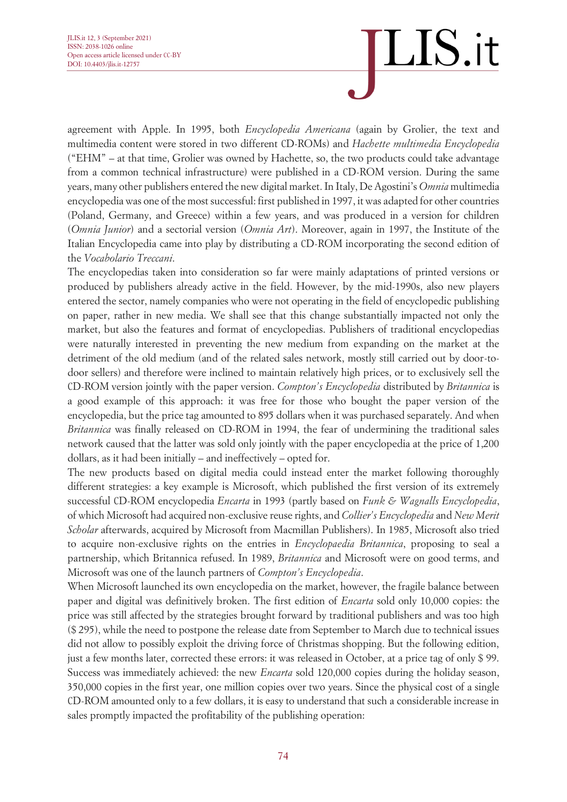agreement with Apple. In 1995, both *Encyclopedia Americana* (again by Grolier, the text and multimedia content were stored in two different CD-ROMs) and *Hachette multimedia Encyclopedia*  ("EHM" – at that time, Grolier was owned by Hachette, so, the two products could take advantage from a common technical infrastructure) were published in a CD-ROM version. During the same years, many other publishers entered the new digital market. In Italy, De Agostini's *Omnia* multimedia encyclopedia was one of the most successful: first published in 1997, it was adapted for other countries (Poland, Germany, and Greece) within a few years, and was produced in a version for children (*Omnia Junior*) and a sectorial version (*Omnia Art*). Moreover, again in 1997, the Institute of the Italian Encyclopedia came into play by distributing a CD-ROM incorporating the second edition of the *Vocabolario Treccani*.

The encyclopedias taken into consideration so far were mainly adaptations of printed versions or produced by publishers already active in the field. However, by the mid-1990s, also new players entered the sector, namely companies who were not operating in the field of encyclopedic publishing on paper, rather in new media. We shall see that this change substantially impacted not only the market, but also the features and format of encyclopedias. Publishers of traditional encyclopedias were naturally interested in preventing the new medium from expanding on the market at the detriment of the old medium (and of the related sales network, mostly still carried out by door-todoor sellers) and therefore were inclined to maintain relatively high prices, or to exclusively sell the CD-ROM version jointly with the paper version. *Compton's Encyclopedia* distributed by *Britannica* is a good example of this approach: it was free for those who bought the paper version of the encyclopedia, but the price tag amounted to 895 dollars when it was purchased separately. And when *Britannica* was finally released on CD-ROM in 1994, the fear of undermining the traditional sales network caused that the latter was sold only jointly with the paper encyclopedia at the price of 1,200 dollars, as it had been initially – and ineffectively – opted for.

The new products based on digital media could instead enter the market following thoroughly different strategies: a key example is Microsoft, which published the first version of its extremely successful CD-ROM encyclopedia *Encarta* in 1993 (partly based on *Funk & Wagnalls Encyclopedia*, of which Microsoft had acquired non-exclusive reuse rights, and *Collier's Encyclopedia* and *New Merit Scholar* afterwards, acquired by Microsoft from Macmillan Publishers). In 1985, Microsoft also tried to acquire non-exclusive rights on the entries in *Encyclopaedia Britannica*, proposing to seal a partnership, which Britannica refused. In 1989, *Britannica* and Microsoft were on good terms, and Microsoft was one of the launch partners of *Compton's Encyclopedia*.

When Microsoft launched its own encyclopedia on the market, however, the fragile balance between paper and digital was definitively broken. The first edition of *Encarta* sold only 10,000 copies: the price was still affected by the strategies brought forward by traditional publishers and was too high (\$ 295), while the need to postpone the release date from September to March due to technical issues did not allow to possibly exploit the driving force of Christmas shopping. But the following edition, just a few months later, corrected these errors: it was released in October, at a price tag of only \$ 99. Success was immediately achieved: the new *Encarta* sold 120,000 copies during the holiday season, 350,000 copies in the first year, one million copies over two years. Since the physical cost of a single CD-ROM amounted only to a few dollars, it is easy to understand that such a considerable increase in sales promptly impacted the profitability of the publishing operation: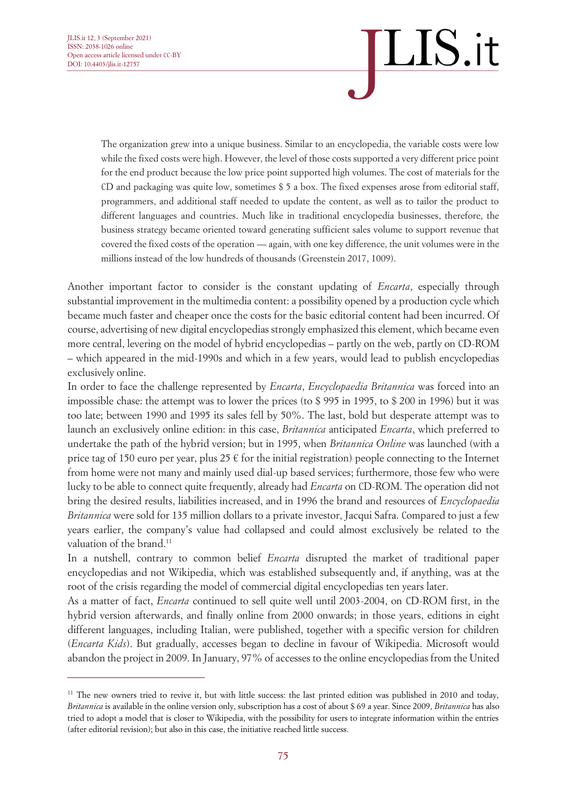The organization grew into a unique business. Similar to an encyclopedia, the variable costs were low while the fixed costs were high. However, the level of those costs supported a very different price point for the end product because the low price point supported high volumes. The cost of materials for the CD and packaging was quite low, sometimes \$ 5 a box. The fixed expenses arose from editorial staff, programmers, and additional staff needed to update the content, as well as to tailor the product to different languages and countries. Much like in traditional encyclopedia businesses, therefore, the business strategy became oriented toward generating sufficient sales volume to support revenue that covered the fixed costs of the operation — again, with one key difference, the unit volumes were in the millions instead of the low hundreds of thousands (Greenstein 2017, 1009).

Another important factor to consider is the constant updating of *Encarta*, especially through substantial improvement in the multimedia content: a possibility opened by a production cycle which became much faster and cheaper once the costs for the basic editorial content had been incurred. Of course, advertising of new digital encyclopedias strongly emphasized this element, which became even more central, levering on the model of hybrid encyclopedias – partly on the web, partly on CD-ROM – which appeared in the mid-1990s and which in a few years, would lead to publish encyclopedias exclusively online.

In order to face the challenge represented by *Encarta*, *Encyclopaedia Britannica* was forced into an impossible chase: the attempt was to lower the prices (to \$ 995 in 1995, to \$ 200 in 1996) but it was too late; between 1990 and 1995 its sales fell by 50%. The last, bold but desperate attempt was to launch an exclusively online edition: in this case, *Britannica* anticipated *Encarta*, which preferred to undertake the path of the hybrid version; but in 1995, when *Britannica Online* was launched (with a price tag of 150 euro per year, plus 25  $\epsilon$  for the initial registration) people connecting to the Internet from home were not many and mainly used dial-up based services; furthermore, those few who were lucky to be able to connect quite frequently, already had *Encarta* on CD-ROM. The operation did not bring the desired results, liabilities increased, and in 1996 the brand and resources of *Encyclopaedia Britannica* were sold for 135 million dollars to a private investor, Jacqui Safra. Compared to just a few years earlier, the company's value had collapsed and could almost exclusively be related to the valuation of the brand. 11

In a nutshell, contrary to common belief *Encarta* disrupted the market of traditional paper encyclopedias and not Wikipedia, which was established subsequently and, if anything, was at the root of the crisis regarding the model of commercial digital encyclopedias ten years later.

As a matter of fact, *Encarta* continued to sell quite well until 2003-2004, on CD-ROM first, in the hybrid version afterwards, and finally online from 2000 onwards; in those years, editions in eight different languages, including Italian, were published, together with a specific version for children (*Encarta Kids*). But gradually, accesses began to decline in favour of Wikipedia. Microsoft would abandon the project in 2009. In January, 97% of accesses to the online encyclopedias from the United

 $11$  The new owners tried to revive it, but with little success: the last printed edition was published in 2010 and today. *Britannica* is available in the online version only, subscription has a cost of about \$ 69 a year. Since 2009, *Britannica* has also tried to adopt a model that is closer to Wikipedia, with the possibility for users to integrate information within the entries (after editorial revision); but also in this case, the initiative reached little success.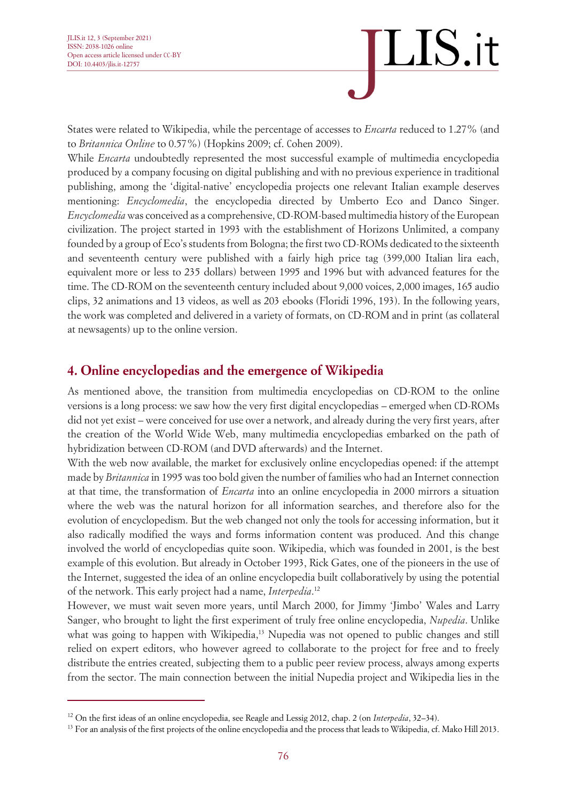

States were related to Wikipedia, while the percentage of accesses to *Encarta* reduced to 1.27% (and to *Britannica Online* to 0.57%) (Hopkins 2009; cf. Cohen 2009).

While *Encarta* undoubtedly represented the most successful example of multimedia encyclopedia produced by a company focusing on digital publishing and with no previous experience in traditional publishing, among the 'digital-native' encyclopedia projects one relevant Italian example deserves mentioning: *Encyclomedia*, the encyclopedia directed by Umberto Eco and Danco Singer. *Encyclomedia* was conceived as a comprehensive, CD-ROM-based multimedia history of the European civilization. The project started in 1993 with the establishment of Horizons Unlimited, a company founded by a group of Eco's students from Bologna; the first two CD-ROMs dedicated to the sixteenth and seventeenth century were published with a fairly high price tag (399,000 Italian lira each, equivalent more or less to 235 dollars) between 1995 and 1996 but with advanced features for the time. The CD-ROM on the seventeenth century included about 9,000 voices, 2,000 images, 165 audio clips, 32 animations and 13 videos, as well as 203 ebooks (Floridi 1996, 193). In the following years, the work was completed and delivered in a variety of formats, on CD-ROM and in print (as collateral at newsagents) up to the online version.

#### **4. Online encyclopedias and the emergence of Wikipedia**

As mentioned above, the transition from multimedia encyclopedias on CD-ROM to the online versions is a long process: we saw how the very first digital encyclopedias – emerged when CD-ROMs did not yet exist – were conceived for use over a network, and already during the very first years, after the creation of the World Wide Web, many multimedia encyclopedias embarked on the path of hybridization between CD-ROM (and DVD afterwards) and the Internet.

With the web now available, the market for exclusively online encyclopedias opened: if the attempt made by *Britannica* in 1995 was too bold given the number of families who had an Internet connection at that time, the transformation of *Encarta* into an online encyclopedia in 2000 mirrors a situation where the web was the natural horizon for all information searches, and therefore also for the evolution of encyclopedism. But the web changed not only the tools for accessing information, but it also radically modified the ways and forms information content was produced. And this change involved the world of encyclopedias quite soon. Wikipedia, which was founded in 2001, is the best example of this evolution. But already in October 1993, Rick Gates, one of the pioneers in the use of the Internet, suggested the idea of an online encyclopedia built collaboratively by using the potential of the network. This early project had a name, *Interpedia*. 12

However, we must wait seven more years, until March 2000, for Jimmy 'Jimbo' Wales and Larry Sanger, who brought to light the first experiment of truly free online encyclopedia, *Nupedia*. Unlike what was going to happen with Wikipedia,<sup>13</sup> Nupedia was not opened to public changes and still relied on expert editors, who however agreed to collaborate to the project for free and to freely distribute the entries created, subjecting them to a public peer review process, always among experts from the sector. The main connection between the initial Nupedia project and Wikipedia lies in the

<sup>12</sup> On the first ideas of an online encyclopedia, see Reagle and Lessig 2012, chap. 2 (on *Interpedia*, 32–34).

<sup>&</sup>lt;sup>13</sup> For an analysis of the first projects of the online encyclopedia and the process that leads to Wikipedia, cf. Mako Hill 2013.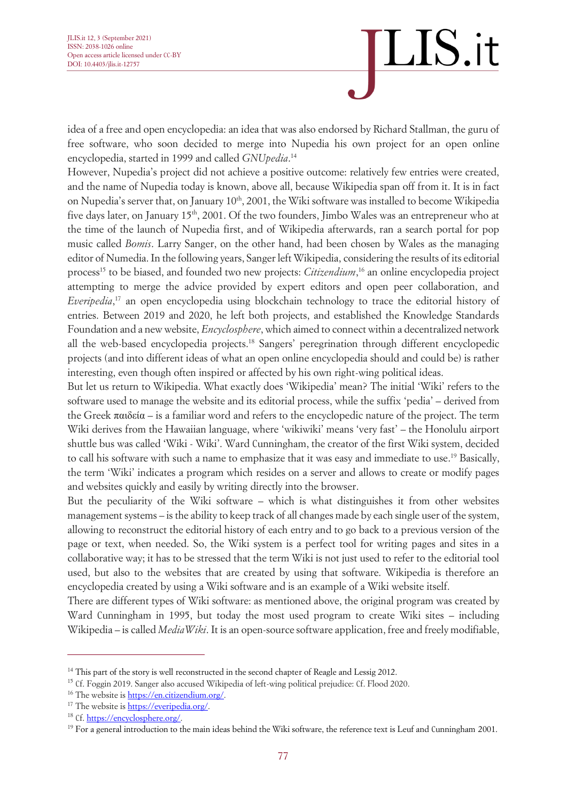idea of a free and open encyclopedia: an idea that was also endorsed by Richard Stallman, the guru of free software, who soon decided to merge into Nupedia his own project for an open online encyclopedia, started in 1999 and called *GNUpedia*. 14

However, Nupedia's project did not achieve a positive outcome: relatively few entries were created, and the name of Nupedia today is known, above all, because Wikipedia span off from it. It is in fact on Nupedia's server that, on January 10<sup>th</sup>, 2001, the Wiki software was installed to become Wikipedia five days later, on January 15<sup>th</sup>, 2001. Of the two founders, Jimbo Wales was an entrepreneur who at the time of the launch of Nupedia first, and of Wikipedia afterwards, ran a search portal for pop music called *Bomis*. Larry Sanger, on the other hand, had been chosen by Wales as the managing editor of Numedia. In the following years, Sanger left Wikipedia, considering the results of its editorial process<sup>15</sup> to be biased, and founded two new projects: *Citizendium*, <sup>16</sup> an online encyclopedia project attempting to merge the advice provided by expert editors and open peer collaboration, and *Everipedia*, <sup>17</sup> an open encyclopedia using blockchain technology to trace the editorial history of entries. Between 2019 and 2020, he left both projects, and established the Knowledge Standards Foundation and a new website, *Encyclosphere*, which aimed to connect within a decentralized network all the web-based encyclopedia projects. <sup>18</sup> Sangers' peregrination through different encyclopedic projects (and into different ideas of what an open online encyclopedia should and could be) is rather interesting, even though often inspired or affected by his own right-wing political ideas.

But let us return to Wikipedia. What exactly does 'Wikipedia' mean? The initial 'Wiki' refers to the software used to manage the website and its editorial process, while the suffix 'pedia' – derived from the Greek παιδεία – is a familiar word and refers to the encyclopedic nature of the project. The term Wiki derives from the Hawaiian language, where 'wikiwiki' means 'very fast' – the Honolulu airport shuttle bus was called 'Wiki - Wiki'. Ward Cunningham, the creator of the first Wiki system, decided to call his software with such a name to emphasize that it was easy and immediate to use. <sup>19</sup> Basically, the term 'Wiki' indicates a program which resides on a server and allows to create or modify pages and websites quickly and easily by writing directly into the browser.

But the peculiarity of the Wiki software – which is what distinguishes it from other websites management systems – is the ability to keep track of all changes made by each single user of the system, allowing to reconstruct the editorial history of each entry and to go back to a previous version of the page or text, when needed. So, the Wiki system is a perfect tool for writing pages and sites in a collaborative way; it has to be stressed that the term Wiki is not just used to refer to the editorial tool used, but also to the websites that are created by using that software. Wikipedia is therefore an encyclopedia created by using a Wiki software and is an example of a Wiki website itself.

There are different types of Wiki software: as mentioned above, the original program was created by Ward Cunningham in 1995, but today the most used program to create Wiki sites – including Wikipedia – is called *MediaWiki*. It is an open-source software application, free and freely modifiable,

<sup>&</sup>lt;sup>14</sup> This part of the story is well reconstructed in the second chapter of Reagle and Lessig 2012.

<sup>&</sup>lt;sup>15</sup> Cf. Foggin 2019. Sanger also accused Wikipedia of left-wing political prejudice: Cf. Flood 2020.

<sup>&</sup>lt;sup>16</sup> The website is [https://en.citizendium.org/.](https://en.citizendium.org/)

<sup>&</sup>lt;sup>17</sup> The website is https://everipedia.org/.

<sup>&</sup>lt;sup>18</sup> Cf. https://encyclosphere.org/.

 $19$  For a general introduction to the main ideas behind the Wiki software, the reference text is Leuf and Cunningham 2001.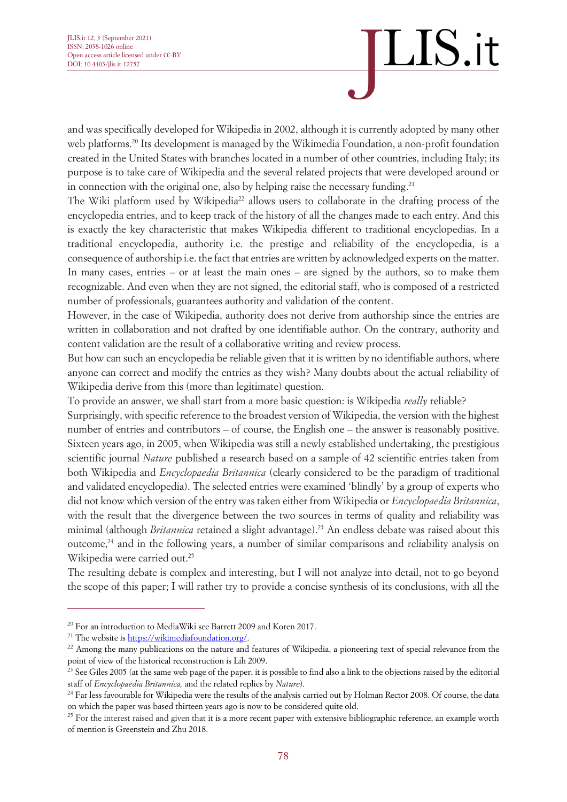and was specifically developed for Wikipedia in 2002, although it is currently adopted by many other web platforms. <sup>20</sup> Its development is managed by the Wikimedia Foundation, a non-profit foundation created in the United States with branches located in a number of other countries, including Italy; its purpose is to take care of Wikipedia and the several related projects that were developed around or in connection with the original one, also by helping raise the necessary funding.<sup>21</sup>

The Wiki platform used by Wikipedia<sup>22</sup> allows users to collaborate in the drafting process of the encyclopedia entries, and to keep track of the history of all the changes made to each entry. And this is exactly the key characteristic that makes Wikipedia different to traditional encyclopedias. In a traditional encyclopedia, authority i.e. the prestige and reliability of the encyclopedia, is a consequence of authorship i.e. the fact that entries are written by acknowledged experts on the matter. In many cases, entries – or at least the main ones – are signed by the authors, so to make them recognizable. And even when they are not signed, the editorial staff, who is composed of a restricted number of professionals, guarantees authority and validation of the content.

However, in the case of Wikipedia, authority does not derive from authorship since the entries are written in collaboration and not drafted by one identifiable author. On the contrary, authority and content validation are the result of a collaborative writing and review process.

But how can such an encyclopedia be reliable given that it is written by no identifiable authors, where anyone can correct and modify the entries as they wish? Many doubts about the actual reliability of Wikipedia derive from this (more than legitimate) question.

To provide an answer, we shall start from a more basic question: is Wikipedia *really* reliable?

Surprisingly, with specific reference to the broadest version of Wikipedia, the version with the highest number of entries and contributors – of course, the English one – the answer is reasonably positive. Sixteen years ago, in 2005, when Wikipedia was still a newly established undertaking, the prestigious scientific journal *Nature* published a research based on a sample of 42 scientific entries taken from both Wikipedia and *Encyclopaedia Britannica* (clearly considered to be the paradigm of traditional and validated encyclopedia). The selected entries were examined 'blindly' by a group of experts who did not know which version of the entry was taken either from Wikipedia or *Encyclopaedia Britannica*, with the result that the divergence between the two sources in terms of quality and reliability was minimal (although *Britannica* retained a slight advantage). <sup>23</sup> An endless debate was raised about this outcome, <sup>24</sup> and in the following years, a number of similar comparisons and reliability analysis on Wikipedia were carried out. 25

The resulting debate is complex and interesting, but I will not analyze into detail, not to go beyond the scope of this paper; I will rather try to provide a concise synthesis of its conclusions, with all the

<sup>&</sup>lt;sup>20</sup> For an introduction to MediaWiki see Barrett 2009 and Koren 2017.

<sup>&</sup>lt;sup>21</sup> The website is [https://wikimediafoundation.org/.](https://wikimediafoundation.org/)

 $22$  Among the many publications on the nature and features of Wikipedia, a pioneering text of special relevance from the point of view of the historical reconstruction is Lih 2009.

<sup>&</sup>lt;sup>23</sup> See Giles 2005 (at the same web page of the paper, it is possible to find also a link to the objections raised by the editorial staff of *Encyclopaedia Britannica,* and the related replies by *Nature*).

 $^{24}$  Far less favourable for Wikipedia were the results of the analysis carried out by Holman Rector 2008. Of course, the data on which the paper was based thirteen years ago is now to be considered quite old.

<sup>&</sup>lt;sup>25</sup> For the interest raised and given that it is a more recent paper with extensive bibliographic reference, an example worth of mention is Greenstein and Zhu 2018.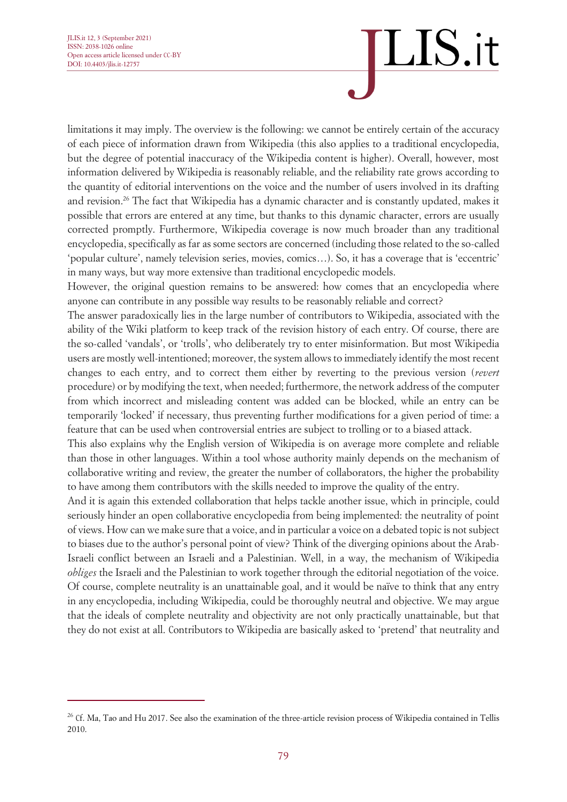limitations it may imply. The overview is the following: we cannot be entirely certain of the accuracy of each piece of information drawn from Wikipedia (this also applies to a traditional encyclopedia, but the degree of potential inaccuracy of the Wikipedia content is higher). Overall, however, most information delivered by Wikipedia is reasonably reliable, and the reliability rate grows according to the quantity of editorial interventions on the voice and the number of users involved in its drafting and revision. <sup>26</sup> The fact that Wikipedia has a dynamic character and is constantly updated, makes it possible that errors are entered at any time, but thanks to this dynamic character, errors are usually corrected promptly. Furthermore, Wikipedia coverage is now much broader than any traditional encyclopedia, specifically as far as some sectors are concerned (including those related to the so-called 'popular culture', namely television series, movies, comics…). So, it has a coverage that is 'eccentric' in many ways, but way more extensive than traditional encyclopedic models.

However, the original question remains to be answered: how comes that an encyclopedia where anyone can contribute in any possible way results to be reasonably reliable and correct?

The answer paradoxically lies in the large number of contributors to Wikipedia, associated with the ability of the Wiki platform to keep track of the revision history of each entry. Of course, there are the so-called 'vandals', or 'trolls', who deliberately try to enter misinformation. But most Wikipedia users are mostly well-intentioned; moreover, the system allows to immediately identify the most recent changes to each entry, and to correct them either by reverting to the previous version (*revert*  procedure) or by modifying the text, when needed; furthermore, the network address of the computer from which incorrect and misleading content was added can be blocked, while an entry can be temporarily 'locked' if necessary, thus preventing further modifications for a given period of time: a feature that can be used when controversial entries are subject to trolling or to a biased attack.

This also explains why the English version of Wikipedia is on average more complete and reliable than those in other languages. Within a tool whose authority mainly depends on the mechanism of collaborative writing and review, the greater the number of collaborators, the higher the probability to have among them contributors with the skills needed to improve the quality of the entry.

And it is again this extended collaboration that helps tackle another issue, which in principle, could seriously hinder an open collaborative encyclopedia from being implemented: the neutrality of point of views. How can we make sure that a voice, and in particular a voice on a debated topic is not subject to biases due to the author's personal point of view? Think of the diverging opinions about the Arab-Israeli conflict between an Israeli and a Palestinian. Well, in a way, the mechanism of Wikipedia *obliges* the Israeli and the Palestinian to work together through the editorial negotiation of the voice. Of course, complete neutrality is an unattainable goal, and it would be naïve to think that any entry in any encyclopedia, including Wikipedia, could be thoroughly neutral and objective. We may argue that the ideals of complete neutrality and objectivity are not only practically unattainable, but that they do not exist at all. Contributors to Wikipedia are basically asked to 'pretend' that neutrality and

 $26$  Cf. Ma, Tao and Hu 2017. See also the examination of the three-article revision process of Wikipedia contained in Tellis 2010.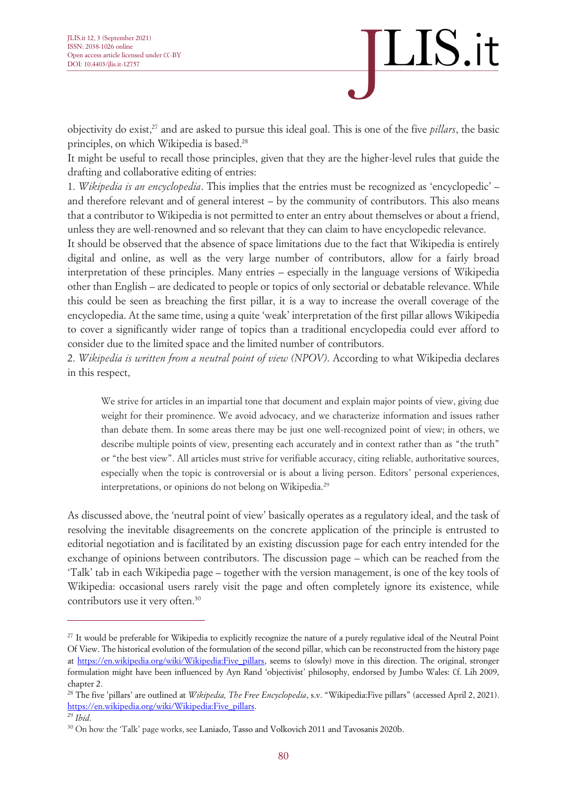### LIS.it

objectivity do exist, <sup>27</sup> and are asked to pursue this ideal goal. This is one of the five *pillars*, the basic principles, on which Wikipedia is based. 28

It might be useful to recall those principles, given that they are the higher-level rules that guide the drafting and collaborative editing of entries:

1. *Wikipedia is an encyclopedia*. This implies that the entries must be recognized as 'encyclopedic' – and therefore relevant and of general interest – by the community of contributors. This also means that a contributor to Wikipedia is not permitted to enter an entry about themselves or about a friend, unless they are well-renowned and so relevant that they can claim to have encyclopedic relevance.

It should be observed that the absence of space limitations due to the fact that Wikipedia is entirely digital and online, as well as the very large number of contributors, allow for a fairly broad interpretation of these principles. Many entries – especially in the language versions of Wikipedia other than English – are dedicated to people or topics of only sectorial or debatable relevance. While this could be seen as breaching the first pillar, it is a way to increase the overall coverage of the encyclopedia. At the same time, using a quite 'weak' interpretation of the first pillar allows Wikipedia to cover a significantly wider range of topics than a traditional encyclopedia could ever afford to consider due to the limited space and the limited number of contributors.

2. *Wikipedia is written from a neutral point of view (NPOV)*. According to what Wikipedia declares in this respect,

We strive for articles in an impartial tone that document and explain major points of view, giving due weight for their prominence. We avoid advocacy, and we characterize information and issues rather than debate them. In some areas there may be just one well-recognized point of view; in others, we describe multiple points of view, presenting each accurately and in context rather than as "the truth" or "the best view". All articles must strive for verifiable accuracy, citing reliable, authoritative sources, especially when the topic is controversial or is about a living person. Editors' personal experiences, interpretations, or opinions do not belong on Wikipedia.<sup>29</sup>

As discussed above, the 'neutral point of view' basically operates as a regulatory ideal, and the task of resolving the inevitable disagreements on the concrete application of the principle is entrusted to editorial negotiation and is facilitated by an existing discussion page for each entry intended for the exchange of opinions between contributors. The discussion page – which can be reached from the 'Talk' tab in each Wikipedia page – together with the version management, is one of the key tools of Wikipedia: occasional users rarely visit the page and often completely ignore its existence, while contributors use it very often. 30

<sup>&</sup>lt;sup>27</sup> It would be preferable for Wikipedia to explicitly recognize the nature of a purely regulative ideal of the Neutral Point Of View. The historical evolution of the formulation of the second pillar, which can be reconstructed from the history page at https://en.wikipedia.org/wiki/Wikipedia:Five pillars, seems to (slowly) move in this direction. The original, stronger formulation might have been influenced by Ayn Rand 'objectivist' philosophy, endorsed by Jumbo Wales: Cf. Lih 2009, chapter 2.

<sup>28</sup> The five 'pillars' are outlined at *Wikipedia, The Free Encyclopedia*, s.v. "Wikipedia:Five pillars" (accessed April 2, 2021). [https://en.wikipedia.org/wiki/Wikipedia:Five\\_pillars.](https://en.wikipedia.org/wiki/Wikipedia:Five_pillars)

<sup>29</sup> *Ibid*.

<sup>30</sup> On how the 'Talk' page works, see Laniado, Tasso and Volkovich 2011 and Tavosanis 2020b.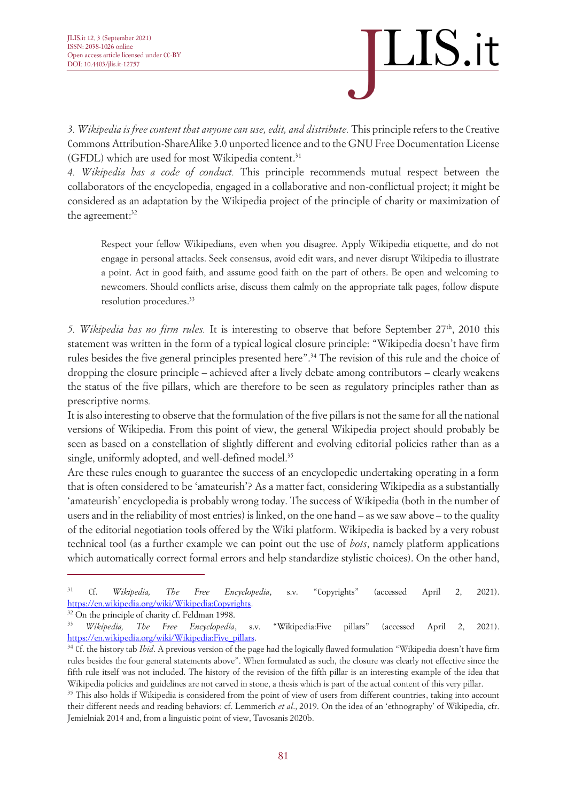

*3. Wikipedia is free content that anyone can use, edit, and distribute.* This principle refers to the Creative Commons Attribution-ShareAlike 3.0 unported licence and to the GNU Free Documentation License (GFDL) which are used for most Wikipedia content. 31

*4. Wikipedia has a code of conduct.* This principle recommends mutual respect between the collaborators of the encyclopedia, engaged in a collaborative and non-conflictual project; it might be considered as an adaptation by the Wikipedia project of the principle of charity or maximization of the agreement: 32

Respect your fellow Wikipedians, even when you disagree. Apply Wikipedia etiquette, and do not engage in personal attacks. Seek consensus, avoid edit wars, and never disrupt Wikipedia to illustrate a point. Act in good faith, and assume good faith on the part of others. Be open and welcoming to newcomers. Should conflicts arise, discuss them calmly on the appropriate talk pages, follow dispute resolution procedures. 33

5. Wikipedia has no firm rules. It is interesting to observe that before September 27<sup>th</sup>, 2010 this statement was written in the form of a typical logical closure principle: "Wikipedia doesn't have firm rules besides the five general principles presented here". <sup>34</sup> The revision of this rule and the choice of dropping the closure principle – achieved after a lively debate among contributors – clearly weakens the status of the five pillars, which are therefore to be seen as regulatory principles rather than as prescriptive norms*.*

It is also interesting to observe that the formulation of the five pillars is not the same for all the national versions of Wikipedia. From this point of view, the general Wikipedia project should probably be seen as based on a constellation of slightly different and evolving editorial policies rather than as a single, uniformly adopted, and well-defined model. 35

Are these rules enough to guarantee the success of an encyclopedic undertaking operating in a form that is often considered to be 'amateurish'? As a matter fact, considering Wikipedia as a substantially 'amateurish' encyclopedia is probably wrong today. The success of Wikipedia (both in the number of users and in the reliability of most entries) is linked, on the one hand – as we saw above – to the quality of the editorial negotiation tools offered by the Wiki platform. Wikipedia is backed by a very robust technical tool (as a further example we can point out the use of *bots*, namely platform applications which automatically correct formal errors and help standardize stylistic choices). On the other hand,

<sup>31</sup> Cf. *Wikipedia, The Free Encyclopedia*, s.v. "Copyrights" (accessed April 2, 2021). [https://en.wikipedia.org/wiki/Wikipedia:Copyrights.](https://en.wikipedia.org/wiki/Wikipedia:Copyrights) 

<sup>&</sup>lt;sup>32</sup> On the principle of charity cf[. Feldman 1998.](https://translate.google.com/translate?hl=en&prev=_t&sl=it&tl=en&u=https://www.rep.routledge.com/search%3Faction%3DtoggleFacet-Contributors-Authors/Person/contrib-357%26newSearch)

<sup>33</sup> *Wikipedia, The Free Encyclopedia*, s.v. "Wikipedia:Five pillars" (accessed April 2, 2021). [https://en.wikipedia.org/wiki/Wikipedia:Five\\_pillars.](https://en.wikipedia.org/wiki/Wikipedia:Five_pillars) 

<sup>&</sup>lt;sup>34</sup> Cf. the history tab *Ibid*. A previous version of the page had the logically flawed formulation "Wikipedia doesn't have firm rules besides the four general statements above". When formulated as such, the closure was clearly not effective since the fifth rule itself was not included. The history of the revision of the fifth pillar is an interesting example of the idea that Wikipedia policies and guidelines are not carved in stone, a thesis which is part of the actual content of this very pillar.

<sup>&</sup>lt;sup>35</sup> This also holds if Wikipedia is considered from the point of view of users from different countries, taking into account their different needs and reading behaviors: cf. Lemmerich *et al*., 2019. On the idea of an 'ethnography' of Wikipedia, cfr. Jemielniak 2014 and, from a linguistic point of view, Tavosanis 2020b.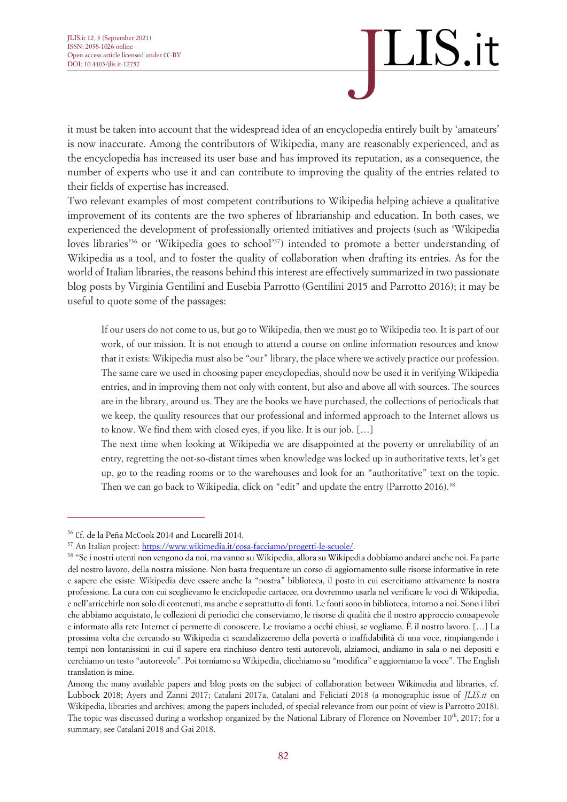it must be taken into account that the widespread idea of an encyclopedia entirely built by 'amateurs' is now inaccurate. Among the contributors of Wikipedia, many are reasonably experienced, and as the encyclopedia has increased its user base and has improved its reputation, as a consequence, the number of experts who use it and can contribute to improving the quality of the entries related to their fields of expertise has increased.

Two relevant examples of most competent contributions to Wikipedia helping achieve a qualitative improvement of its contents are the two spheres of librarianship and education. In both cases, we experienced the development of professionally oriented initiatives and projects (such as 'Wikipedia loves libraries<sup>36</sup> or 'Wikipedia goes to school'<sup>37</sup>) intended to promote a better understanding of Wikipedia as a tool, and to foster the quality of collaboration when drafting its entries. As for the world of Italian libraries, the reasons behind this interest are effectively summarized in two passionate blog posts by Virginia Gentilini and Eusebia Parrotto (Gentilini 2015 and Parrotto 2016); it may be useful to quote some of the passages:

If our users do not come to us, but go to Wikipedia, then we must go to Wikipedia too. It is part of our work, of our mission. It is not enough to attend a course on online information resources and know that it exists: Wikipedia must also be "our" library, the place where we actively practice our profession. The same care we used in choosing paper encyclopedias, should now be used it in verifying Wikipedia entries, and in improving them not only with content, but also and above all with sources. The sources are in the library, around us. They are the books we have purchased, the collections of periodicals that we keep, the quality resources that our professional and informed approach to the Internet allows us to know. We find them with closed eyes, if you like. It is our job. […]

The next time when looking at Wikipedia we are disappointed at the poverty or unreliability of an entry, regretting the not-so-distant times when knowledge was locked up in authoritative texts, let's get up, go to the reading rooms or to the warehouses and look for an "authoritative" text on the topic. Then we can go back to Wikipedia, click on "edit" and update the entry (Parrotto 2016).<sup>38</sup>

<sup>36</sup> Cf. de la Peña McCook 2014 and Lucarelli 2014.

<sup>&</sup>lt;sup>37</sup> An Italian project: [https://www.wikimedia.it/cosa-facciamo/progetti-le-scuole/.](https://www.wikimedia.it/cosa-facciamo/progetti-le-scuole/)

<sup>&</sup>lt;sup>38</sup> "Se i nostri utenti non vengono da noi, ma vanno su Wikipedia, allora su Wikipedia dobbiamo andarci anche noi. Fa parte del nostro lavoro, della nostra missione. Non basta frequentare un corso di aggiornamento sulle risorse informative in rete e sapere che esiste: Wikipedia deve essere anche la "nostra" biblioteca, il posto in cui esercitiamo attivamente la nostra professione. La cura con cui sceglievamo le enciclopedie cartacee, ora dovremmo usarla nel verificare le voci di Wikipedia, e nell'arricchirle non solo di contenuti, ma anche e soprattutto di fonti. Le fonti sono in biblioteca, intorno a noi. Sono i libri che abbiamo acquistato, le collezioni di periodici che conserviamo, le risorse di qualità che il nostro approccio consapevole e informato alla rete Internet ci permette di conoscere. Le troviamo a occhi chiusi, se vogliamo. È il nostro lavoro. […] La prossima volta che cercando su Wikipedia ci scandalizzeremo della povertà o inaffidabilità di una voce, rimpiangendo i tempi non lontanissimi in cui il sapere era rinchiuso dentro testi autorevoli, alziamoci, andiamo in sala o nei depositi e cerchiamo un testo "autorevole". Poi torniamo su Wikipedia, clicchiamo su "modifica" e aggiorniamo la voce". The English translation is mine.

Among the many available papers and blog posts on the subject of collaboration between Wikimedia and libraries, cf. Lubbock 2018; Ayers and Zanni 2017; Catalani 2017a, Catalani and Feliciati 2018 (a monographic issue of *JLIS.it* on Wikipedia, libraries and archives; among the papers included, of special relevance from our point of view is Parrotto 2018). The topic was discussed during a workshop organized by the National Library of Florence on November  $10<sup>th</sup>$ , 2017; for a summary, see Catalani 2018 and Gai 2018.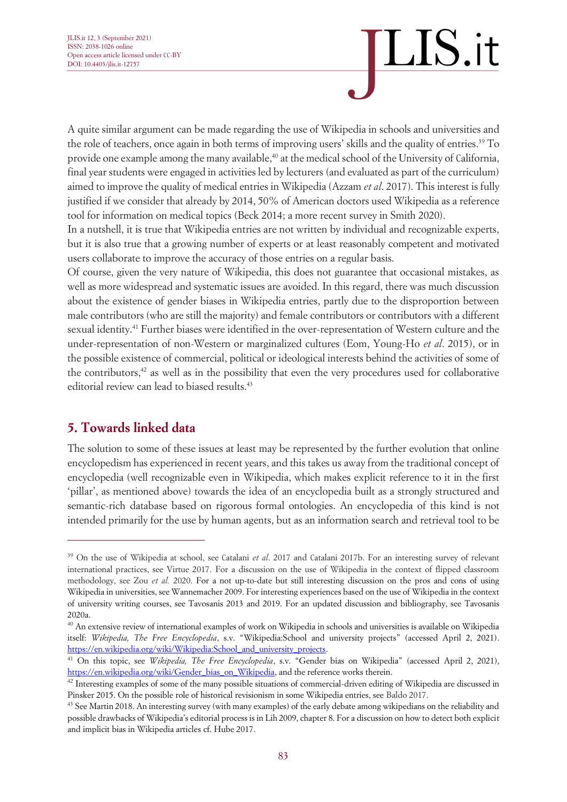A quite similar argument can be made regarding the use of Wikipedia in schools and universities and the role of teachers, once again in both terms of improving users' skills and the quality of entries. <sup>39</sup> To provide one example among the many available, <sup>40</sup> at the medical school of the University of California, final year students were engaged in activities led by lecturers (and evaluated as part of the curriculum) aimed to improve the quality of medical entries in Wikipedia (Azzam *et al*. 2017). This interest is fully justified if we consider that already by 2014, 50% of American doctors used Wikipedia as a reference tool for information on medical topics (Beck 2014; a more recent survey in Smith 2020).

In a nutshell, it is true that Wikipedia entries are not written by individual and recognizable experts, but it is also true that a growing number of experts or at least reasonably competent and motivated users collaborate to improve the accuracy of those entries on a regular basis.

Of course, given the very nature of Wikipedia, this does not guarantee that occasional mistakes, as well as more widespread and systematic issues are avoided. In this regard, there was much discussion about the existence of gender biases in Wikipedia entries, partly due to the disproportion between male contributors (who are still the majority) and female contributors or contributors with a different sexual identity.<sup>41</sup> Further biases were identified in the over-representation of Western culture and the under-representation of non-Western or marginalized cultures (Eom, Young-Ho *et al*. 2015), or in the possible existence of commercial, political or ideological interests behind the activities of some of the contributors, <sup>42</sup> as well as in the possibility that even the very procedures used for collaborative editorial review can lead to biased results. 43

#### **5. Towards linked data**

The solution to some of these issues at least may be represented by the further evolution that online encyclopedism has experienced in recent years, and this takes us away from the traditional concept of encyclopedia (well recognizable even in Wikipedia, which makes explicit reference to it in the first 'pillar', as mentioned above) towards the idea of an encyclopedia built as a strongly structured and semantic-rich database based on rigorous formal ontologies. An encyclopedia of this kind is not intended primarily for the use by human agents, but as an information search and retrieval tool to be

<sup>&</sup>lt;sup>39</sup> On the use of Wikipedia at school, see Catalani *et al.* 2017 and Catalani 2017b. For an interesting survey of relevant international practices, see Virtue 2017. For a discussion on the use of Wikipedia in the context of flipped classroom methodology, see Zou *et al.* 2020. For a not up-to-date but still interesting discussion on the pros and cons of using Wikipedia in universities, see Wannemacher 2009. For interesting experiences based on the use of Wikipedia in the context of university writing courses, see Tavosanis 2013 and 2019. For an updated discussion and bibliography, see Tavosanis 2020a.

 $^{40}$  An extensive review of international examples of work on Wikipedia in schools and universities is available on Wikipedia itself: *Wikipedia, The Free Encyclopedia*, s.v. "Wikipedia:School and university projects" (accessed April 2, 2021). [https://en.wikipedia.org/wiki/Wikipedia:School\\_and\\_university\\_projects.](https://en.wikipedia.org/wiki/Wikipedia:School_and_university_projects)

<sup>41</sup> On this topic, see *Wikipedia, The Free Encyclopedia*, s.v. "Gender bias on Wikipedia" (accessed April 2, 2021), [https://en.wikipedia.org/wiki/Gender\\_bias\\_on\\_Wikipedia,](https://en.wikipedia.org/wiki/Gender_bias_on_Wikipedia) and the reference works therein.

<sup>&</sup>lt;sup>42</sup> Interesting examples of some of the many possible situations of commercial-driven editing of Wikipedia are discussed in Pinsker 2015. On the possible role of historical revisionism in some Wikipedia entries, see Baldo 2017.

<sup>&</sup>lt;sup>43</sup> See Martin 2018. An interesting survey (with many examples) of the early debate among wikipedians on the reliability and possible drawbacks of Wikipedia's editorial process is in Lih 2009, chapter 8. For a discussion on how to detect both explicit and implicit bias in Wikipedia articles cf. Hube 2017.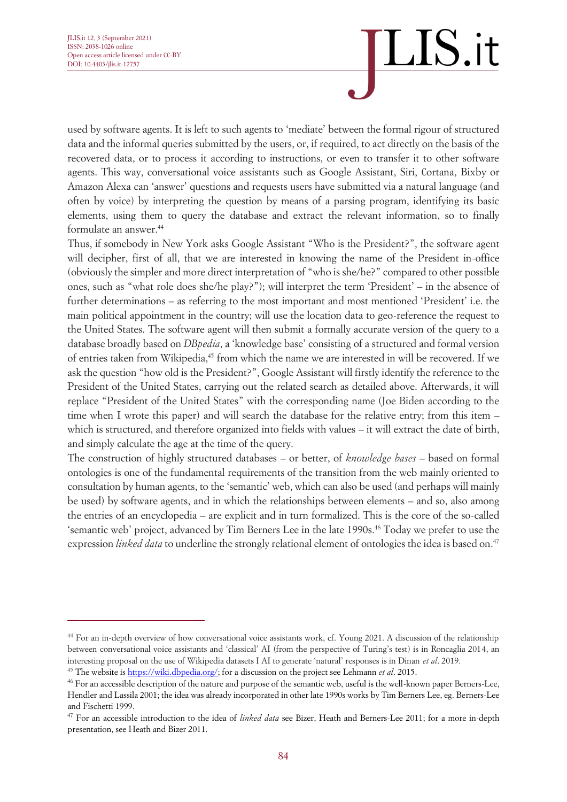used by software agents. It is left to such agents to 'mediate' between the formal rigour of structured data and the informal queries submitted by the users, or, if required, to act directly on the basis of the recovered data, or to process it according to instructions, or even to transfer it to other software agents. This way, conversational voice assistants such as Google Assistant, Siri, Cortana, Bixby or Amazon Alexa can 'answer' questions and requests users have submitted via a natural language (and often by voice) by interpreting the question by means of a parsing program, identifying its basic elements, using them to query the database and extract the relevant information, so to finally formulate an answer. 44

Thus, if somebody in New York asks Google Assistant "Who is the President?", the software agent will decipher, first of all, that we are interested in knowing the name of the President in-office (obviously the simpler and more direct interpretation of "who is she/he?" compared to other possible ones, such as "what role does she/he play?"); will interpret the term 'President' – in the absence of further determinations – as referring to the most important and most mentioned 'President' i.e. the main political appointment in the country; will use the location data to geo-reference the request to the United States. The software agent will then submit a formally accurate version of the query to a database broadly based on *DBpedia*, a 'knowledge base' consisting of a structured and formal version of entries taken from Wikipedia, <sup>45</sup> from which the name we are interested in will be recovered. If we ask the question "how old is the President?", Google Assistant will firstly identify the reference to the President of the United States, carrying out the related search as detailed above. Afterwards, it will replace "President of the United States" with the corresponding name (Joe Biden according to the time when I wrote this paper) and will search the database for the relative entry; from this item – which is structured, and therefore organized into fields with values – it will extract the date of birth, and simply calculate the age at the time of the query.

The construction of highly structured databases – or better, of *knowledge bases* – based on formal ontologies is one of the fundamental requirements of the transition from the web mainly oriented to consultation by human agents, to the 'semantic' web, which can also be used (and perhaps will mainly be used) by software agents, and in which the relationships between elements – and so, also among the entries of an encyclopedia – are explicit and in turn formalized. This is the core of the so-called 'semantic web' project, advanced by Tim Berners Lee in the late 1990s. <sup>46</sup> Today we prefer to use the expression *linked data* to underline the strongly relational element of ontologies the idea is based on. 47

<sup>44</sup> For an in-depth overview of how conversational voice assistants work, cf. Young 2021. A discussion of the relationship between conversational voice assistants and 'classical' AI (from the perspective of Turing's test) is in Roncaglia 2014, an interesting proposal on the use of Wikipedia datasets I AI to generate 'natural' responses is in Dinan *et al*. 2019.

<sup>45</sup> The website is [https://wiki.dbpedia.org/;](https://wiki.dbpedia.org/about) for a discussion on the project see Lehmann *et al*. 2015.

<sup>46</sup> For an accessible description of the nature and purpose of the semantic web, useful is the well-known paper Berners-Lee, Hendler and Lassila 2001; the idea was already incorporated in other late 1990s works by Tim Berners Lee, eg. Berners-Lee and Fischetti 1999.

<sup>47</sup> For an accessible introduction to the idea of *linked data* see Bizer, Heath and Berners-Lee 2011; for a more in-depth presentation, see Heath and Bizer 2011.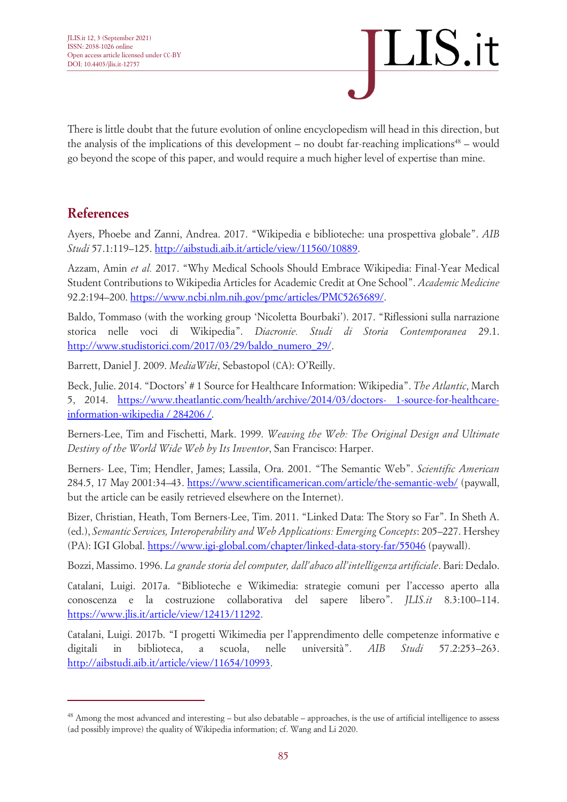There is little doubt that the future evolution of online encyclopedism will head in this direction, but the analysis of the implications of this development – no doubt far-reaching implications<sup>48</sup> – would go beyond the scope of this paper, and would require a much higher level of expertise than mine.

#### **References**

Ayers, Phoebe and Zanni, Andrea. 2017. "Wikipedia e biblioteche: una prospettiva globale". *AIB Studi* 57.1:119–125. [http://aibstudi.aib.it/article/view/11560/10889.](http://aibstudi.aib.it/article/view/11560/10889)

Azzam, Amin *et al.* 2017. "Why Medical Schools Should Embrace Wikipedia: Final-Year Medical Student Contributions to Wikipedia Articles for Academic Credit at One School". *Academic Medicine* 92.2:194–200. [https://www.ncbi.nlm.nih.gov/pmc/articles/PMC5265689/.](https://www.ncbi.nlm.nih.gov/pmc/articles/PMC5265689/)

Baldo, Tommaso (with the working group 'Nicoletta Bourbaki'). 2017. "Riflessioni sulla narrazione storica nelle voci di Wikipedia". *Diacronie. Studi di Storia Contemporanea* 29.1. [http://www.studistorici.com/2017/03/29/baldo\\_numero\\_29/.](http://www.studistorici.com/2017/03/29/baldo_numero_29/)

Barrett, Daniel J. 2009. *MediaWiki*, Sebastopol (CA): O'Reilly.

Beck, Julie. 2014. "Doctors' # 1 Source for Healthcare Information: Wikipedia". *The Atlantic*, March 5, 2014. [https://www.theatlantic.com/health/archive/2014/03/doctors-](https://www.theatlantic.com/health/archive/2014/03/doctors-1-source-for-healthcare-information-wikipedia/284206/) 1-source-for-healthcare[information-wikipedia / 284206 /.](https://www.theatlantic.com/health/archive/2014/03/doctors-1-source-for-healthcare-information-wikipedia/284206/)

Berners-Lee, Tim and Fischetti, Mark. 1999. *Weaving the Web: The Original Design and Ultimate Destiny of the World Wide Web by Its Inventor*, San Francisco: Harper.

Berners- Lee, Tim; Hendler, James; Lassila, Ora. 2001. "The Semantic Web". *Scientific American* 284.5, 17 May 2001:34–43.<https://www.scientificamerican.com/article/the-semantic-web/> (paywall, but the article can be easily retrieved elsewhere on the Internet).

Bizer, Christian, Heath, Tom Berners-Lee, Tim. 2011. "Linked Data: The Story so Far". In Sheth A. (ed.), *Semantic Services, Interoperability and Web Applications: Emerging Concepts*: 205–227. Hershey (PA): IGI Global.<https://www.igi-global.com/chapter/linked-data-story-far/55046> (paywall).

Bozzi, Massimo. 1996. *La grande storia del computer, dall'abaco all'intelligenza artificiale*. Bari: Dedalo.

Catalani, Luigi. 2017a. "Biblioteche e Wikimedia: strategie comuni per l'accesso aperto alla conoscenza e la costruzione collaborativa del sapere libero". *JLIS.it* 8.3:100–114. [https://www.jlis.it/article/view/12413/11292.](https://www.jlis.it/article/view/12413/11292)

Catalani, Luigi. 2017b. "I progetti Wikimedia per l'apprendimento delle competenze informative e digitali in biblioteca, a scuola, nelle università". *AIB Studi* 57.2:253–263. [http://aibstudi.aib.it/article/view/11654/10993.](http://aibstudi.aib.it/article/view/11654/10993)

<sup>48</sup> Among the most advanced and interesting – but also debatable – approaches, is the use of artificial intelligence to assess (ad possibly improve) the quality of Wikipedia information; cf. Wang and Li 2020.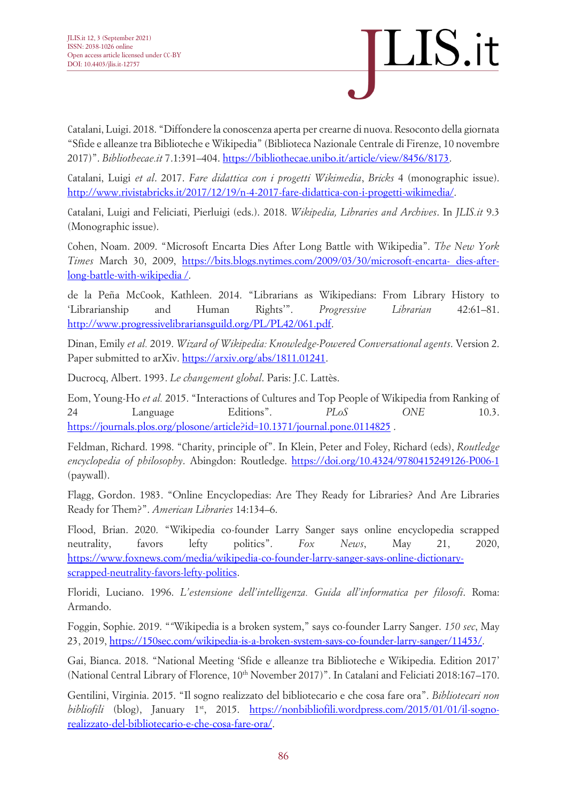

Catalani, Luigi. 2018. "Diffondere la conoscenza aperta per crearne di nuova. Resoconto della giornata "Sfide e alleanze tra Biblioteche e Wikipedia" (Biblioteca Nazionale Centrale di Firenze, 10 novembre 2017)". *Bibliothecae.it* 7.1:391–404. [https://bibliothecae.unibo.it/article/view/8456/8173.](https://bibliothecae.unibo.it/article/view/8456/8173)

Catalani, Luigi *et al*. 2017. *Fare didattica con i progetti Wikimedia*, *Bricks* 4 (monographic issue). [http://www.rivistabricks.it/2017/12/19/n-4-2017-fare-didattica-con-i-progetti-wikimedia/.](http://www.rivistabricks.it/2017/12/19/n-4-2017-fare-didattica-con-i-progetti-wikimedia/)

Catalani, Luigi and Feliciati, Pierluigi (eds.). 2018. *Wikipedia, Libraries and Archives*. In *JLIS.it* 9.3 (Monographic issue).

Cohen, Noam. 2009. "Microsoft Encarta Dies After Long Battle with Wikipedia". *The New York Times* March 30, 2009, [https://bits.blogs.nytimes.com/2009/03/30/microsoft-encarta-](https://bits.blogs.nytimes.com/2009/03/30/microsoft-encarta-dies-after-long-battle-with-wikipedia/) dies-after[long-battle-with-wikipedia /.](https://bits.blogs.nytimes.com/2009/03/30/microsoft-encarta-dies-after-long-battle-with-wikipedia/)

de la Peña McCook, Kathleen. 2014. "Librarians as Wikipedians: From Library History to 'Librarianship and Human Rights'". *Progressive Librarian* 42:61–81. [http://www.progressivelibrariansguild.org/PL/PL42/061.pdf.](http://www.progressivelibrariansguild.org/PL/PL42/061.pdf)

Dinan, Emily *et al.* 2019. *Wizard of Wikipedia: Knowledge-Powered Conversational agents*. Version 2. Paper submitted to arXiv. [https://arxiv.org/abs/1811.01241.](https://arxiv.org/abs/1811.01241)

Ducrocq, Albert. 1993. *Le changement global*. Paris: J.C. Lattès.

Eom, Young-Ho *et al.* 2015. "Interactions of Cultures and Top People of Wikipedia from Ranking of 24 Language Editions". *PLoS ONE* 10.3. [https://journals.plos.org/plosone/article?id=10.1371/journal.pone.0114825](https://journals.plos.org/plosone/article%3Fid%3D10.1371/journal.pone.0114825) .

[Feldman, Richard. 1998.](https://translate.google.com/translate?hl=en&prev=_t&sl=it&tl=en&u=https://www.rep.routledge.com/search%3Faction%3DtoggleFacet-Contributors-Authors/Person/contrib-357%26newSearch) "Charity, principle of". In Klein, Peter and Foley, Richard (eds), *Routledge encyclopedia of philosophy*. Abingdon: Routledge.<https://doi.org/10.4324/9780415249126-P006-1> (paywall).

Flagg, Gordon. 1983. "Online Encyclopedias: Are They Ready for Libraries? And Are Libraries Ready for Them?". *American Libraries* 14:134–6.

Flood, Brian. 2020. "Wikipedia co-founder Larry Sanger says online encyclopedia scrapped neutrality, favors lefty politics". *Fox News*, May 21, 2020, [https://www.foxnews.com/media/wikipedia-co-founder-larry-sanger-says-online-dictionary](https://www.foxnews.com/media/wikipedia-co-founder-larry-sanger-says-online-dictionary-scrapped-neutrality-favors-lefty-politics)[scrapped-neutrality-favors-lefty-politics.](https://www.foxnews.com/media/wikipedia-co-founder-larry-sanger-says-online-dictionary-scrapped-neutrality-favors-lefty-politics)

Floridi, Luciano. 1996. *L'estensione dell'intelligenza. Guida all'informatica per filosofi*. Roma: Armando.

Foggin, Sophie. 2019. "*"*Wikipedia is a broken system," says co-founder Larry Sanger. *150 sec*, May 23, 2019, [https://150sec.com/wikipedia-is-a-broken-system-says-co-founder-larry-sanger/11453/.](https://150sec.com/wikipedia-is-a-broken-system-says-co-founder-larry-sanger/11453/)

Gai, Bianca. 2018. "National Meeting 'Sfide e alleanze tra Biblioteche e Wikipedia. Edition 2017' (National Central Library of Florence, 10<sup>th</sup> November 2017)". In Catalani and Feliciati 2018:167-170.

Gentilini, Virginia. 2015. "Il sogno realizzato del bibliotecario e che cosa fare ora". *Bibliotecari non bibliofili* (blog), January 1<sup>st</sup>, 2015. [https://nonbibliofili.wordpress.com/2015/01/01/il-sogno](https://nonbibliofili.wordpress.com/2015/01/01/il-sogno-realizzato-del-bibliotecario-e-che-cosa-fare-ora/)[realizzato-del-bibliotecario-e-che-cosa-fare-ora/.](https://nonbibliofili.wordpress.com/2015/01/01/il-sogno-realizzato-del-bibliotecario-e-che-cosa-fare-ora/)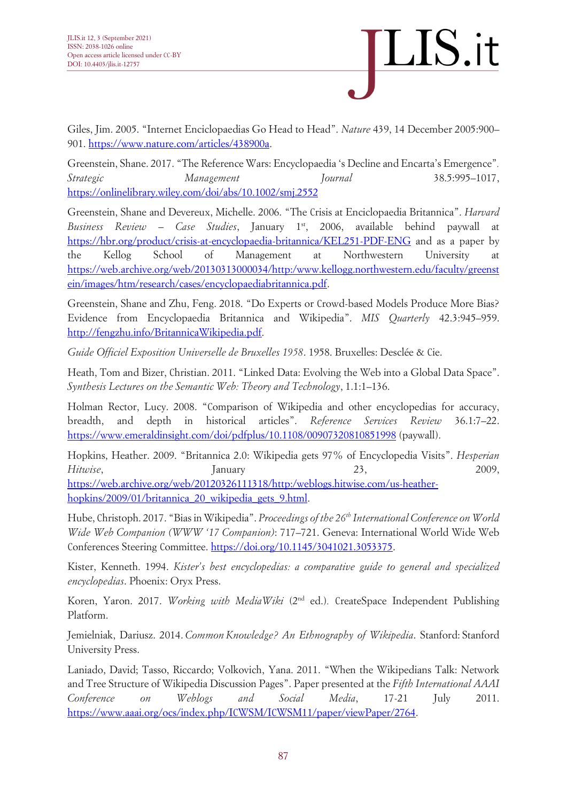

Giles, Jim. 2005. "Internet Enciclopaedias Go Head to Head". *Nature* 439, 14 December 2005:900– 901. [https://www.nature.com/articles/438900a.](https://www.nature.com/articles/438900a)

Greenstein, Shane. 2017. "The Reference Wars: Encyclopaedia 's Decline and Encarta's Emergence"*. Strategic Management Journal* 38.5:995–1017, <https://onlinelibrary.wiley.com/doi/abs/10.1002/smj.2552>

Greenstein, Shane and Devereux, Michelle. 2006. "The Crisis at Enciclopaedia Britannica". *Harvard Business Review – Case Studies*, January 1<sup>st</sup>, 2006, available behind paywall [https://hbr.org/product/crisis-at-encyclopaedia-britannica/KEL251-PDF-ENG](https://translate.google.com/translate?hl=en&prev=_t&sl=it&tl=en&u=https://hbr.org/product/crisis-at-encyclopaedia-britannica/KEL251-PDF-ENG) and as a paper by the Kellog School of Management at Northwestern University at [https://web.archive.org/web/20130313000034/http:/www.kellogg.northwestern.edu/faculty/greenst](https://web.archive.org/web/20130313000034/http:/www.kellogg.northwestern.edu/faculty/greenstein/images/htm/research/cases/encyclopaediabritannica.pdf) [ein/images/htm/research/cases/encyclopaediabritannica.pdf.](https://web.archive.org/web/20130313000034/http:/www.kellogg.northwestern.edu/faculty/greenstein/images/htm/research/cases/encyclopaediabritannica.pdf)

Greenstein, Shane and Zhu, Feng. 2018. "Do Experts or Crowd-based Models Produce More Bias? Evidence from Encyclopaedia Britannica and Wikipedia". *MIS Quarterly* 42.3:945–959. [http://fengzhu.info/BritannicaWikipedia.pdf.](http://fengzhu.info/BritannicaWikipedia.pdf)

*Guide Officiel Exposition Universelle de Bruxelles 1958*. 1958. Bruxelles: Desclée & Cie.

Heath, Tom and Bizer, Christian. 2011. "Linked Data: Evolving the Web into a Global Data Space". *Synthesis Lectures on the Semantic Web: Theory and Technology*, 1.1:1–136.

Holman Rector, Lucy. 2008. "Comparison of Wikipedia and other encyclopedias for accuracy, breadth, and depth in historical articles". *Reference Services Review* 36.1:7–22. <https://www.emeraldinsight.com/doi/pdfplus/10.1108/00907320810851998> (paywall).

Hopkins, Heather. 2009. "Britannica 2.0: Wikipedia gets 97% of Encyclopedia Visits". *Hesperian Hitwise*, 2009, January 23, 2009, [https://web.archive.org/web/20120326111318/http:/weblogs.hitwise.com/us-heather](https://web.archive.org/web/20120326111318/http:/weblogs.hitwise.com/us-heather-hopkins/2009/01/britannica_20_wikipedia_gets_9.html)[hopkins/2009/01/britannica\\_20\\_wikipedia\\_gets\\_9.html.](https://web.archive.org/web/20120326111318/http:/weblogs.hitwise.com/us-heather-hopkins/2009/01/britannica_20_wikipedia_gets_9.html)

Hube, Christoph. 2017. "Bias in Wikipedia". *Proceedings of the 26th International Conference on World Wide Web Companion (WWW '17 Companion)*: 717–721. Geneva: International World Wide Web Conferences Steering Committee. [https://doi.org/10.1145/3041021.3053375.](https://doi.org/10.1145/3041021.3053375)

Kister, Kenneth. 1994. *Kister's best encyclopedias: a comparative guide to general and specialized encyclopedias*. Phoenix: Oryx Press.

Koren, Yaron. 2017. *Working with MediaWiki* (2<sup>nd</sup> ed.). CreateSpace Independent Publishing Platform.

Jemielniak, Dariusz. 2014. *Common Knowledge? An Ethnography of Wikipedia*. Stanford: Stanford University Press.

Laniado, David; Tasso, Riccardo; Volkovich, Yana. 2011. "When the Wikipedians Talk: Network and Tree Structure of Wikipedia Discussion Pages". Paper presented at the *Fifth International AAAI Conference on Weblogs and Social Media*, 17-21 July 2011. [https://www.aaai.org/ocs/index.php/ICWSM/ICWSM11/paper/viewPaper/2764.](https://www.aaai.org/ocs/index.php/ICWSM/ICWSM11/paper/viewPaper/2764)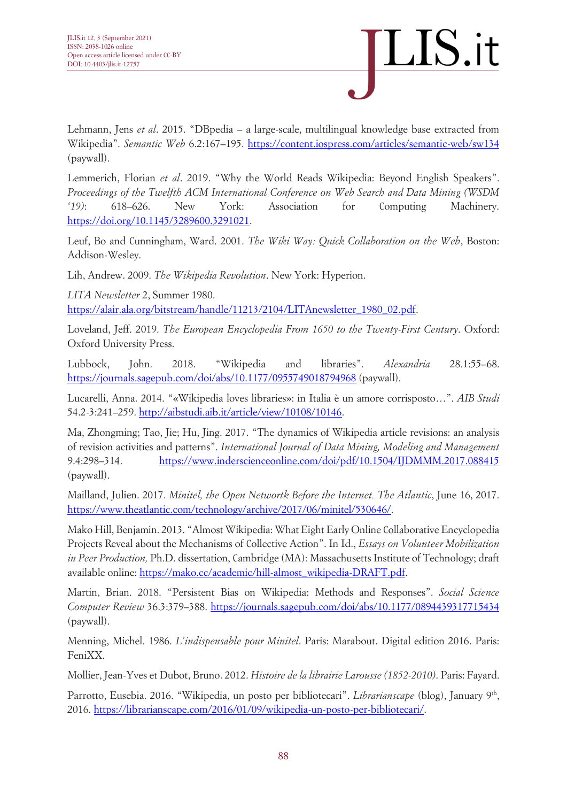

Lehmann, Jens *et al*. 2015. "DBpedia – a large-scale, multilingual knowledge base extracted from Wikipedia". *Semantic Web* 6.2:167–195.<https://content.iospress.com/articles/semantic-web/sw134> (paywall).

Lemmerich, Florian *et al*. 2019. "Why the World Reads Wikipedia: Beyond English Speakers". *Proceedings of the Twelfth ACM International Conference on Web Search and Data Mining (WSDM '19)*: 618–626. New York: Association for Computing Machinery. [https://doi.org/10.1145/3289600.3291021.](https://doi.org/10.1145/3289600.3291021)

Leuf, Bo and Cunningham, Ward. 2001. *The Wiki Way: Quick Collaboration on the Web*, Boston: Addison-Wesley.

Lih, Andrew. 2009. *The Wikipedia Revolution*. New York: Hyperion.

*LITA Newsletter* 2, Summer 1980.

[https://alair.ala.org/bitstream/handle/11213/2104/LITAnewsletter\\_1980\\_02.pdf.](https://alair.ala.org/bitstream/handle/11213/2104/LITAnewsletter_1980_02.pdf)

Loveland, Jeff. 2019. *The European Encyclopedia From 1650 to the Twenty-First Century*. Oxford: Oxford University Press.

Lubbock, John. 2018. "Wikipedia and libraries". *Alexandria* 28.1:55–68. <https://journals.sagepub.com/doi/abs/10.1177/0955749018794968> (paywall).

Lucarelli, Anna. 2014. "«Wikipedia loves libraries»: in Italia è un amore corrisposto…". *AIB Studi* 54.2-3:241–259. [http://aibstudi.aib.it/article/view/10108/10146.](http://aibstudi.aib.it/article/view/10108/10146)

Ma, Zhongming; Tao, Jie; Hu, Jing. 2017. "The dynamics of Wikipedia article revisions: an analysis of revision activities and patterns". *International Journal of Data Mining, Modeling and Management* 9.4:298–314. <https://www.inderscienceonline.com/doi/pdf/10.1504/IJDMMM.2017.088415> (paywall).

Mailland, Julien. 2017. *Minitel, the Open Networtk Before the Internet. The Atlantic*, June 16, 2017. [https://www.theatlantic.com/technology/archive/2017/06/minitel/530646/.](https://www.theatlantic.com/technology/archive/2017/06/minitel/530646/)

Mako Hill, Benjamin. 2013. "Almost Wikipedia: What Eight Early Online Collaborative Encyclopedia Projects Reveal about the Mechanisms of Collective Action". In Id., *Essays on Volunteer Mobilization in Peer Production,* Ph.D. dissertation, Cambridge (MA): Massachusetts Institute of Technology; draft available online[: https://mako.cc/academic/hill-almost\\_wikipedia-DRAFT.pdf.](https://mako.cc/academic/hill-almost_wikipedia-DRAFT.pdf)

Martin, Brian. 2018. "Persistent Bias on Wikipedia: Methods and Responses". *Social Science Computer Review* 36.3:379–388.<https://journals.sagepub.com/doi/abs/10.1177/0894439317715434> (paywall).

Menning, Michel. 1986. *L'indispensable pour Minitel*. Paris: Marabout. Digital edition 2016. Paris: FeniXX.

Mollier, Jean-Yves et Dubot, Bruno. 2012. *Histoire de la librairie Larousse (1852-2010)*. Paris: Fayard.

Parrotto, Eusebia. 2016. "Wikipedia, un posto per bibliotecari". *Librarianscape* (blog), January 9<sup>th</sup>, 2016. [https://librarianscape.com/2016/01/09/wikipedia-un-posto-per-bibliotecari/.](https://librarianscape.com/2016/01/09/wikipedia-un-posto-per-bibliotecari/)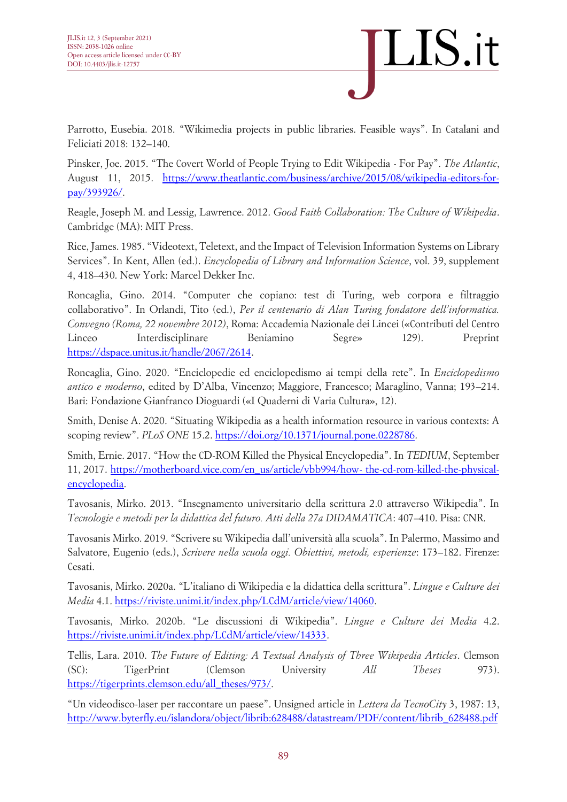

Parrotto, Eusebia. 2018. "Wikimedia projects in public libraries. Feasible ways". In Catalani and Feliciati 2018: 132–140.

Pinsker, Joe. 2015. "The Covert World of People Trying to Edit Wikipedia - For Pay". *The Atlantic*, August 11, 2015. [https://www.theatlantic.com/business/archive/2015/08/wikipedia-editors-for](https://www.theatlantic.com/business/archive/2015/08/wikipedia-editors-for-pay/393926/)[pay/393926/.](https://www.theatlantic.com/business/archive/2015/08/wikipedia-editors-for-pay/393926/)

Reagle, Joseph M. and Lessig, Lawrence. 2012. *Good Faith Collaboration: The Culture of Wikipedia*. Cambridge (MA): MIT Press.

Rice, James. 1985. "Videotext, Teletext, and the Impact of Television Information Systems on Library Services". In Kent, Allen (ed.). *Encyclopedia of Library and Information Science*, vol. 39, supplement 4, 418–430. New York: Marcel Dekker Inc.

Roncaglia, Gino. 2014. "Computer che copiano: test di Turing, web corpora e filtraggio collaborativo". In Orlandi, Tito (ed.), *Per il centenario di Alan Turing fondatore dell'informatica. Convegno (Roma, 22 novembre 2012)*, Roma: Accademia Nazionale dei Lincei («Contributi del Centro Linceo Interdisciplinare Beniamino Segre» 129). Preprint [https://dspace.unitus.it/handle/2067/2614.](https://dspace.unitus.it/handle/2067/2614)

Roncaglia, Gino. 2020. "Enciclopedie ed enciclopedismo ai tempi della rete". In *Enciclopedismo antico e moderno*, edited by D'Alba, Vincenzo; Maggiore, Francesco; Maraglino, Vanna; 193–214. Bari: Fondazione Gianfranco Dioguardi («I Quaderni di Varia Cultura», 12).

Smith, Denise A. 2020. "Situating Wikipedia as a health information resource in various contexts: A scoping review". *PLoS ONE* 15.2. [https://doi.org/10.1371/journal.pone.0228786.](https://doi.org/10.1371/journal.pone.0228786)

Smith, Ernie. 2017. "How the CD-ROM Killed the Physical Encyclopedia". In *TEDIUM*, September 11, 2017. [https://motherboard.vice.com/en\\_us/article/vbb994/how-](https://motherboard.vice.com/en_us/article/vbb994/how-the-cd-rom-killed-the-physical-encyclopedia) the-cd-rom-killed-the-physical[encyclopedia.](https://motherboard.vice.com/en_us/article/vbb994/how-the-cd-rom-killed-the-physical-encyclopedia)

Tavosanis, Mirko. 2013. "Insegnamento universitario della scrittura 2.0 attraverso Wikipedia". In *Tecnologie e metodi per la didattica del futuro. Atti della 27a DIDAMATICA*: 407–410. Pisa: CNR.

Tavosanis Mirko. 2019. "Scrivere su Wikipedia dall'università alla scuola". In Palermo, Massimo and Salvatore, Eugenio (eds.), *Scrivere nella scuola oggi. Obiettivi, metodi, esperienze*: 173–182. Firenze: Cesati.

Tavosanis, Mirko. 2020a. "L'italiano di Wikipedia e la didattica della scrittura". *Lingue e Culture dei Media* 4.1. https://riviste.unimi.it/index.php/LCdM/article/view/14060.

Tavosanis, Mirko. 2020b. "Le discussioni di Wikipedia". *Lingue e Culture dei Media* 4.2. https://riviste.unimi.it/index.php/LCdM/article/view/14333.

Tellis, Lara. 2010. *The Future of Editing: A Textual Analysis of Three Wikipedia Articles*. Clemson (SC): TigerPrint (Clemson University *All Theses* 973). [https://tigerprints.clemson.edu/all\\_theses/973/.](https://tigerprints.clemson.edu/all_theses/973/)

"Un videodisco-laser per raccontare un paese". Unsigned article in *Lettera da TecnoCity* 3, 1987: 13, [http://www.byterfly.eu/islandora/object/librib:628488/datastream/PDF/content/librib\\_628488.pdf](http://www.byterfly.eu/islandora/object/librib:628488/datastream/PDF/content/librib_628488.pdf)